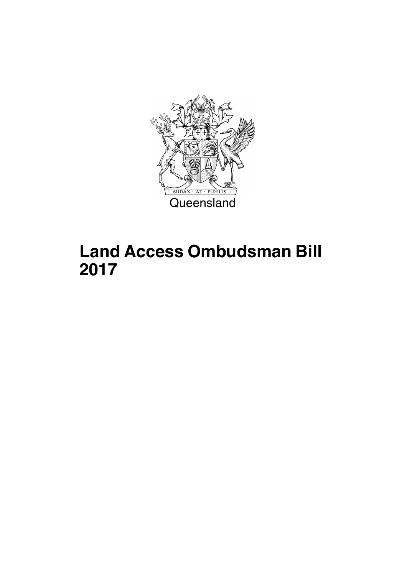

## **Land Access Ombudsman Bill 2017**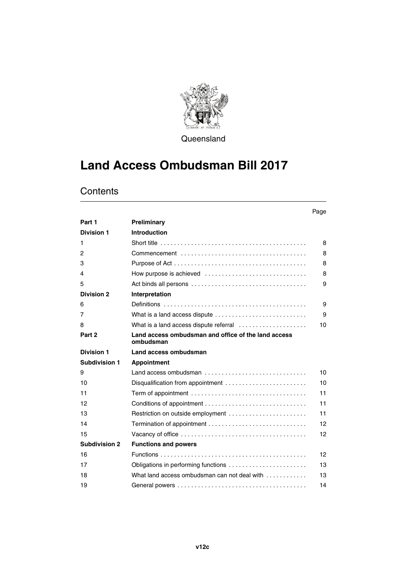

**Queensland** 

## **Land Access Ombudsman Bill 2017**

|                      |                                                                                          | Page |
|----------------------|------------------------------------------------------------------------------------------|------|
| Part 1               | Preliminary                                                                              |      |
| <b>Division 1</b>    | <b>Introduction</b>                                                                      |      |
| 1                    |                                                                                          | 8    |
| 2                    |                                                                                          | 8    |
| 3                    |                                                                                          | 8    |
| 4                    | How purpose is achieved $\ldots, \ldots, \ldots, \ldots, \ldots, \ldots, \ldots, \ldots$ | 8    |
| 5                    |                                                                                          | 9    |
| <b>Division 2</b>    | Interpretation                                                                           |      |
| 6                    |                                                                                          | 9    |
| 7                    | What is a land access dispute                                                            | 9    |
| 8                    | What is a land access dispute referral                                                   | 10   |
| Part 2               | Land access ombudsman and office of the land access<br>ombudsman                         |      |
| <b>Division 1</b>    | Land access ombudsman                                                                    |      |
| <b>Subdivision 1</b> | <b>Appointment</b>                                                                       |      |
| 9                    | Land access ombudsman                                                                    | 10   |
| 10                   | Disqualification from appointment $\ldots \ldots \ldots \ldots \ldots \ldots \ldots$     | 10   |
| 11                   |                                                                                          | 11   |
| 12                   |                                                                                          | 11   |
| 13                   | Restriction on outside employment                                                        | 11   |
| 14                   |                                                                                          | 12   |
| 15                   |                                                                                          | 12   |
| <b>Subdivision 2</b> | <b>Functions and powers</b>                                                              |      |
| 16                   |                                                                                          | 12   |
| 17                   | Obligations in performing functions                                                      | 13   |
| 18                   | What land access ombudsman can not deal with $\ldots$ , $\ldots$                         | 13   |
| 19                   |                                                                                          | 14   |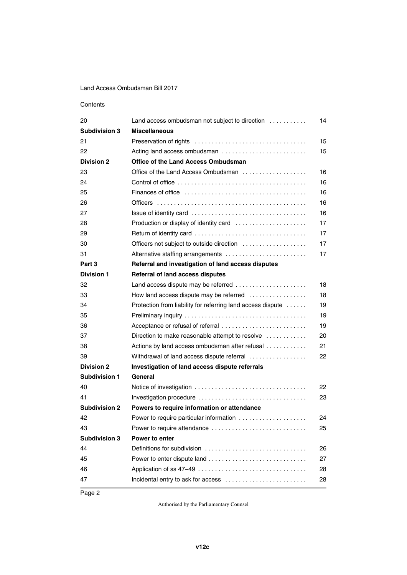| 20                   | Land access ombudsman not subject to direction              | 14 |
|----------------------|-------------------------------------------------------------|----|
| <b>Subdivision 3</b> | <b>Miscellaneous</b>                                        |    |
| 21                   |                                                             | 15 |
| 22                   | Acting land access ombudsman                                | 15 |
| <b>Division 2</b>    | <b>Office of the Land Access Ombudsman</b>                  |    |
| 23                   | Office of the Land Access Ombudsman                         | 16 |
| 24                   |                                                             | 16 |
| 25                   |                                                             | 16 |
| 26                   |                                                             | 16 |
| 27                   |                                                             | 16 |
| 28                   | Production or display of identity card                      | 17 |
| 29                   |                                                             | 17 |
| 30                   | Officers not subject to outside direction                   | 17 |
| 31                   | Alternative staffing arrangements                           | 17 |
| Part 3               | Referral and investigation of land access disputes          |    |
| <b>Division 1</b>    | <b>Referral of land access disputes</b>                     |    |
| 32                   | Land access dispute may be referred                         | 18 |
| 33                   | How land access dispute may be referred                     | 18 |
| 34                   | Protection from liability for referring land access dispute | 19 |
| 35                   |                                                             | 19 |
| 36                   | Acceptance or refusal of referral                           | 19 |
| 37                   | Direction to make reasonable attempt to resolve             | 20 |
| 38                   | Actions by land access ombudsman after refusal              | 21 |
| 39                   | Withdrawal of land access dispute referral                  | 22 |
| <b>Division 2</b>    | Investigation of land access dispute referrals              |    |
| <b>Subdivision 1</b> | General                                                     |    |
| 40                   |                                                             | 22 |
| 41                   | Investigation procedure                                     | 23 |
| <b>Subdivision 2</b> | Powers to require information or attendance                 |    |
| 42                   | Power to require particular information                     | 24 |
| 43                   | Power to require attendance                                 | 25 |
| <b>Subdivision 3</b> | <b>Power to enter</b>                                       |    |
| 44                   | Definitions for subdivision                                 | 26 |
| 45                   |                                                             | 27 |
| 46                   | Application of ss 47-49                                     | 28 |
| 47                   | Incidental entry to ask for access                          | 28 |
|                      |                                                             |    |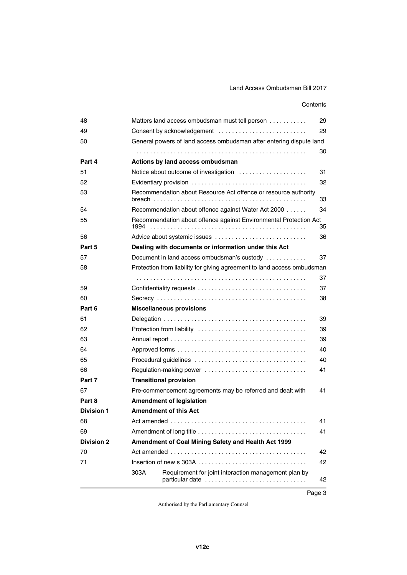| 48                |        | Matters land access ombudsman must tell person                          | 29 |
|-------------------|--------|-------------------------------------------------------------------------|----|
| 49                |        | Consent by acknowledgement                                              | 29 |
| 50                |        | General powers of land access ombudsman after entering dispute land     |    |
|                   |        |                                                                         | 30 |
| Part 4            |        | Actions by land access ombudsman                                        |    |
| 51                |        | Notice about outcome of investigation                                   | 31 |
| 52                |        |                                                                         | 32 |
| 53                | breach | Recommendation about Resource Act offence or resource authority         | 33 |
| 54                |        | Recommendation about offence against Water Act 2000                     | 34 |
| 55                |        | Recommendation about offence against Environmental Protection Act       | 35 |
| 56                |        | Advice about systemic issues                                            | 36 |
| Part 5            |        | Dealing with documents or information under this Act                    |    |
| 57                |        | Document in land access ombudsman's custody                             | 37 |
| 58                |        | Protection from liability for giving agreement to land access ombudsman |    |
|                   |        |                                                                         | 37 |
| 59                |        |                                                                         | 37 |
| 60                |        |                                                                         | 38 |
| Part 6            |        | <b>Miscellaneous provisions</b>                                         |    |
| 61                |        |                                                                         | 39 |
| 62                |        |                                                                         | 39 |
| 63                |        |                                                                         | 39 |
| 64                |        |                                                                         | 40 |
| 65                |        |                                                                         | 40 |
| 66                |        | Regulation-making power                                                 | 41 |
| Part 7            |        | <b>Transitional provision</b>                                           |    |
| 67                |        | Pre-commencement agreements may be referred and dealt with              | 41 |
| Part 8            |        | <b>Amendment of legislation</b>                                         |    |
| <b>Division 1</b> |        | <b>Amendment of this Act</b>                                            |    |
| 68                |        |                                                                         | 41 |
| 69                |        |                                                                         | 41 |
| <b>Division 2</b> |        | Amendment of Coal Mining Safety and Health Act 1999                     |    |
| 70                |        |                                                                         | 42 |
| 71                |        |                                                                         | 42 |
|                   | 303A   | Requirement for joint interaction management plan by<br>particular date | 42 |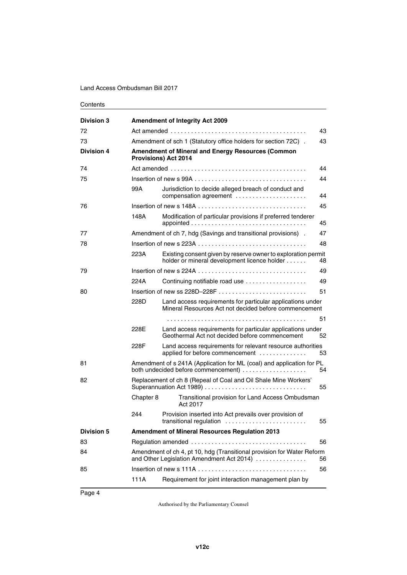| <b>Division 3</b> |           | <b>Amendment of Integrity Act 2009</b>                                                                              |    |
|-------------------|-----------|---------------------------------------------------------------------------------------------------------------------|----|
| 72                |           |                                                                                                                     | 43 |
| 73                |           | Amendment of sch 1 (Statutory office holders for section 72C).                                                      | 43 |
| <b>Division 4</b> |           | <b>Amendment of Mineral and Energy Resources (Common</b><br><b>Provisions) Act 2014</b>                             |    |
| 74                |           |                                                                                                                     | 44 |
| 75                |           |                                                                                                                     | 44 |
|                   | 99A       | Jurisdiction to decide alleged breach of conduct and<br>compensation agreement                                      | 44 |
| 76                |           |                                                                                                                     | 45 |
|                   | 148A      | Modification of particular provisions if preferred tenderer                                                         | 45 |
| 77                |           | Amendment of ch 7, hdg (Savings and transitional provisions).                                                       | 47 |
| 78                |           |                                                                                                                     | 48 |
|                   | 223A      | Existing consent given by reserve owner to exploration permit<br>holder or mineral development licence holder       | 48 |
| 79                |           |                                                                                                                     | 49 |
|                   | 224A      | Continuing notifiable road use                                                                                      | 49 |
| 80                |           | Insertion of new ss $228D-228F$                                                                                     | 51 |
|                   | 228D      | Land access requirements for particular applications under<br>Mineral Resources Act not decided before commencement |    |
|                   |           |                                                                                                                     | 51 |
|                   | 228E      | Land access requirements for particular applications under<br>Geothermal Act not decided before commencement        | 52 |
|                   | 228F      | Land access requirements for relevant resource authorities<br>applied for before commencement                       | 53 |
| 81                |           | Amendment of s 241A (Application for ML (coal) and application for PL                                               | 54 |
| 82                |           | Replacement of ch 8 (Repeal of Coal and Oil Shale Mine Workers'<br>Superannuation Act 1989)                         | 55 |
|                   | Chapter 8 | Transitional provision for Land Access Ombudsman<br>Act 2017                                                        |    |
|                   | 244       | Provision inserted into Act prevails over provision of<br>transitional regulation                                   | 55 |
| <b>Division 5</b> |           | <b>Amendment of Mineral Resources Regulation 2013</b>                                                               |    |
| 83                |           |                                                                                                                     | 56 |
| 84                |           | Amendment of ch 4, pt 10, hdg (Transitional provision for Water Reform<br>and Other Legislation Amendment Act 2014) | 56 |
| 85                |           |                                                                                                                     | 56 |
|                   | 111A      | Requirement for joint interaction management plan by                                                                |    |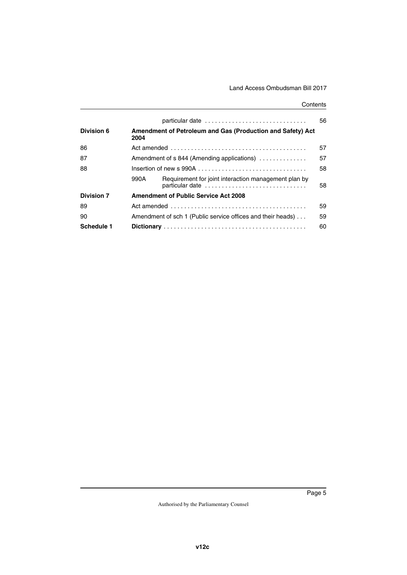|                   |      | particular date                                             | 56 |
|-------------------|------|-------------------------------------------------------------|----|
| <b>Division 6</b> | 2004 | Amendment of Petroleum and Gas (Production and Safety) Act  |    |
| 86                |      |                                                             | 57 |
| 87                |      | Amendment of s 844 (Amending applications)                  | 57 |
| 88                |      |                                                             | 58 |
|                   | 990A | Requirement for joint interaction management plan by        | 58 |
| <b>Division 7</b> |      | <b>Amendment of Public Service Act 2008</b>                 |    |
| 89                |      |                                                             | 59 |
| 90                |      | Amendment of sch 1 (Public service offices and their heads) | 59 |
| <b>Schedule 1</b> |      |                                                             | 60 |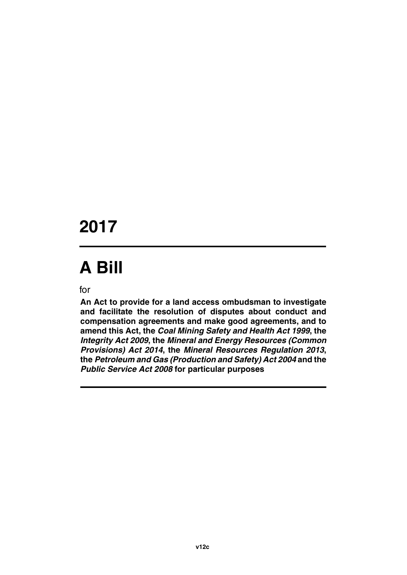# **2017**

# **A Bill**

for

**An Act to provide for a land access ombudsman to investigate and facilitate the resolution of disputes about conduct and compensation agreements and make good agreements, and to amend this Act, the** *Coal Mining Safety and Health Act 1999***, the** *Integrity Act 2009***, the** *Mineral and Energy Resources (Common Provisions) Act 2014***, the** *Mineral Resources Regulation 2013***, the** *Petroleum and Gas (Production and Safety) Act 2004* **and the** *Public Service Act 2008* **for particular purposes**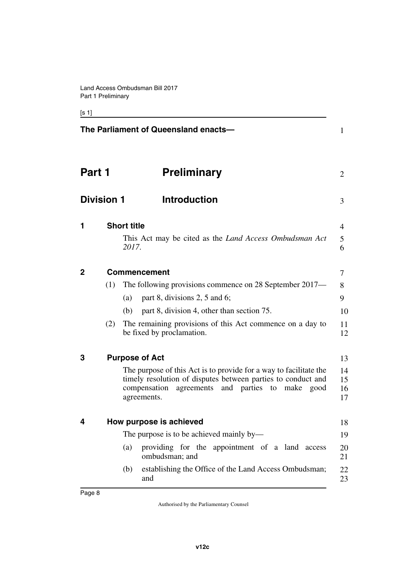### [s 1]

<span id="page-9-11"></span><span id="page-9-10"></span><span id="page-9-9"></span><span id="page-9-8"></span><span id="page-9-7"></span><span id="page-9-6"></span><span id="page-9-5"></span><span id="page-9-4"></span><span id="page-9-3"></span><span id="page-9-2"></span><span id="page-9-1"></span><span id="page-9-0"></span>

|                   |     | The Parliament of Queensland enacts-                                                                                                                                                                       | 1                    |
|-------------------|-----|------------------------------------------------------------------------------------------------------------------------------------------------------------------------------------------------------------|----------------------|
| Part 1            |     | <b>Preliminary</b>                                                                                                                                                                                         | $\overline{2}$       |
| <b>Division 1</b> |     | <b>Introduction</b>                                                                                                                                                                                        | 3                    |
| 1                 |     | <b>Short title</b><br>This Act may be cited as the <i>Land Access Ombudsman Act</i>                                                                                                                        | 4<br>5               |
|                   |     | 2017.                                                                                                                                                                                                      | 6                    |
| 2                 |     | <b>Commencement</b>                                                                                                                                                                                        | 7                    |
|                   | (1) | The following provisions commence on 28 September 2017—                                                                                                                                                    | 8                    |
|                   |     | part 8, divisions 2, 5 and 6;<br>(a)                                                                                                                                                                       | 9                    |
|                   |     | part 8, division 4, other than section 75.<br>(b)                                                                                                                                                          | 10                   |
|                   | (2) | The remaining provisions of this Act commence on a day to<br>be fixed by proclamation.                                                                                                                     | 11<br>12             |
| 3                 |     | <b>Purpose of Act</b>                                                                                                                                                                                      | 13                   |
|                   |     | The purpose of this Act is to provide for a way to facilitate the<br>timely resolution of disputes between parties to conduct and<br>and parties to make good<br>agreements<br>compensation<br>agreements. | 14<br>15<br>16<br>17 |
| 4                 |     | How purpose is achieved                                                                                                                                                                                    | 18                   |
|                   |     | The purpose is to be achieved mainly by—                                                                                                                                                                   | 19                   |
|                   |     | providing for the appointment of a land access<br>(a)<br>ombudsman; and                                                                                                                                    | 20<br>21             |
|                   |     | establishing the Office of the Land Access Ombudsman;<br>(b)<br>and                                                                                                                                        | 22<br>23             |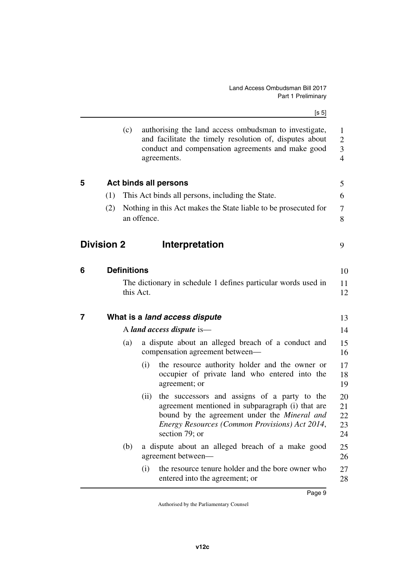<span id="page-10-7"></span><span id="page-10-6"></span><span id="page-10-5"></span><span id="page-10-4"></span><span id="page-10-3"></span><span id="page-10-2"></span><span id="page-10-1"></span><span id="page-10-0"></span>

|   |                   | (c)                |             | authorising the land access ombudsman to investigate,<br>and facilitate the timely resolution of, disputes about<br>conduct and compensation agreements and make good<br>agreements.                                        | $\mathbf{1}$<br>$\overline{2}$<br>3<br>$\overline{4}$ |
|---|-------------------|--------------------|-------------|-----------------------------------------------------------------------------------------------------------------------------------------------------------------------------------------------------------------------------|-------------------------------------------------------|
| 5 |                   |                    |             | <b>Act binds all persons</b>                                                                                                                                                                                                | 5                                                     |
|   | (1)               |                    |             | This Act binds all persons, including the State.                                                                                                                                                                            | 6                                                     |
|   | (2)               |                    | an offence. | Nothing in this Act makes the State liable to be prosecuted for                                                                                                                                                             | 7<br>8                                                |
|   | <b>Division 2</b> |                    |             | Interpretation                                                                                                                                                                                                              | 9                                                     |
| 6 |                   | <b>Definitions</b> |             |                                                                                                                                                                                                                             | 10                                                    |
|   |                   | this Act.          |             | The dictionary in schedule 1 defines particular words used in                                                                                                                                                               | 11<br>12                                              |
| 7 |                   |                    |             | What is a land access dispute                                                                                                                                                                                               | 13                                                    |
|   |                   |                    |             | A land access dispute is—                                                                                                                                                                                                   | 14                                                    |
|   |                   | (a)                |             | a dispute about an alleged breach of a conduct and<br>compensation agreement between-                                                                                                                                       | 15<br>16                                              |
|   |                   |                    | (i)         | the resource authority holder and the owner or<br>occupier of private land who entered into the<br>agreement; or                                                                                                            | 17<br>18<br>19                                        |
|   |                   |                    | (ii)        | the successors and assigns of a party to the<br>agreement mentioned in subparagraph (i) that are<br>bound by the agreement under the <i>Mineral and</i><br>Energy Resources (Common Provisions) Act 2014,<br>section 79; or | 20<br>21<br>22<br>23<br>24                            |
|   |                   | (b)                |             | a dispute about an alleged breach of a make good<br>agreement between—                                                                                                                                                      | 25<br>26                                              |
|   |                   |                    | (i)         | the resource tenure holder and the bore owner who<br>entered into the agreement; or                                                                                                                                         | 27<br>28                                              |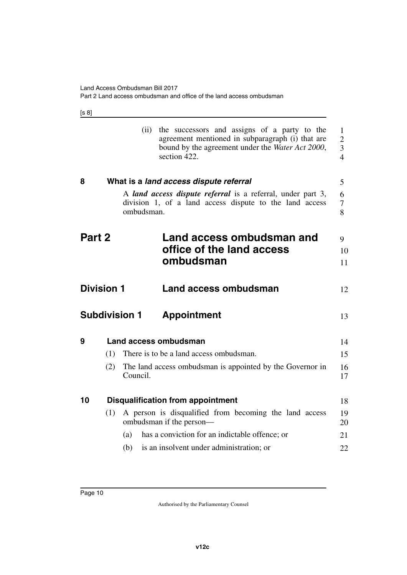[s 8]

<span id="page-11-11"></span><span id="page-11-10"></span><span id="page-11-9"></span><span id="page-11-8"></span><span id="page-11-7"></span><span id="page-11-6"></span><span id="page-11-5"></span><span id="page-11-4"></span><span id="page-11-3"></span><span id="page-11-2"></span><span id="page-11-1"></span><span id="page-11-0"></span>

|        |                   | (ii)                 | the successors and assigns of a party to the<br>agreement mentioned in subparagraph (i) that are<br>bound by the agreement under the Water Act 2000,<br>section 422. | 1<br>$\overline{2}$<br>$\overline{\mathbf{3}}$<br>$\overline{4}$ |
|--------|-------------------|----------------------|----------------------------------------------------------------------------------------------------------------------------------------------------------------------|------------------------------------------------------------------|
| 8      |                   |                      | What is a land access dispute referral                                                                                                                               | 5                                                                |
|        |                   | ombudsman.           | A land access dispute referral is a referral, under part 3,<br>division 1, of a land access dispute to the land access                                               | 6<br>7<br>8                                                      |
| Part 2 |                   |                      | Land access ombudsman and<br>office of the land access<br>ombudsman                                                                                                  | 9<br>10<br>11                                                    |
|        | <b>Division 1</b> |                      | Land access ombudsman                                                                                                                                                | 12                                                               |
|        |                   | <b>Subdivision 1</b> | <b>Appointment</b>                                                                                                                                                   | 13                                                               |
| 9      |                   |                      | Land access ombudsman                                                                                                                                                | 14                                                               |
|        | (1)               |                      | There is to be a land access ombudsman.                                                                                                                              | 15                                                               |
|        | (2)               | Council.             | The land access ombudsman is appointed by the Governor in                                                                                                            | 16<br>17                                                         |
| 10     |                   |                      | <b>Disqualification from appointment</b>                                                                                                                             | 18                                                               |
|        | (1)               |                      | A person is disqualified from becoming the land access<br>ombudsman if the person—                                                                                   | 19<br>20                                                         |
|        |                   | (a)                  | has a conviction for an indictable offence; or                                                                                                                       | 21                                                               |
|        |                   | (b)                  | is an insolvent under administration; or                                                                                                                             | 22                                                               |
|        |                   |                      |                                                                                                                                                                      |                                                                  |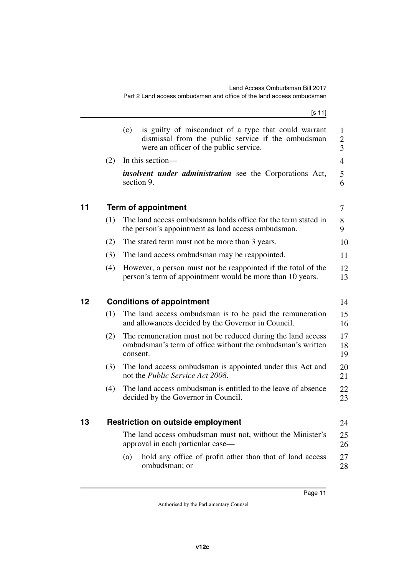<span id="page-12-5"></span><span id="page-12-4"></span><span id="page-12-3"></span><span id="page-12-2"></span><span id="page-12-1"></span><span id="page-12-0"></span>

|    |     | [s 11]                                                                                                                                                      |                          |
|----|-----|-------------------------------------------------------------------------------------------------------------------------------------------------------------|--------------------------|
|    |     | (c)<br>is guilty of misconduct of a type that could warrant<br>dismissal from the public service if the ombudsman<br>were an officer of the public service. | 1<br>$\overline{2}$<br>3 |
|    | (2) | In this section—                                                                                                                                            | 4                        |
|    |     | <i>insolvent under administration</i> see the Corporations Act,<br>section 9.                                                                               | 5<br>6                   |
| 11 |     | <b>Term of appointment</b>                                                                                                                                  | 7                        |
|    | (1) | The land access ombudsman holds office for the term stated in<br>the person's appointment as land access ombudsman.                                         | 8<br>9                   |
|    | (2) | The stated term must not be more than 3 years.                                                                                                              | 10                       |
|    | (3) | The land access ombudsman may be reappointed.                                                                                                               | 11                       |
|    | (4) | However, a person must not be reappointed if the total of the<br>person's term of appointment would be more than 10 years.                                  | 12<br>13                 |
| 12 |     | <b>Conditions of appointment</b>                                                                                                                            | 14                       |
|    | (1) | The land access ombudsman is to be paid the remuneration<br>and allowances decided by the Governor in Council.                                              | 15<br>16                 |
|    | (2) | The remuneration must not be reduced during the land access<br>ombudsman's term of office without the ombudsman's written<br>consent.                       | 17<br>18<br>19           |
|    | (3) | The land access ombudsman is appointed under this Act and<br>not the Public Service Act 2008.                                                               | 20<br>21                 |
|    | (4) | The land access ombudsman is entitled to the leave of absence<br>decided by the Governor in Council.                                                        | 22<br>23                 |
| 13 |     | <b>Restriction on outside employment</b>                                                                                                                    | 24                       |
|    |     | The land access ombudsman must not, without the Minister's<br>approval in each particular case—                                                             | 25<br>26                 |
|    |     | hold any office of profit other than that of land access<br>(a)<br>ombudsman; or                                                                            | 27<br>28                 |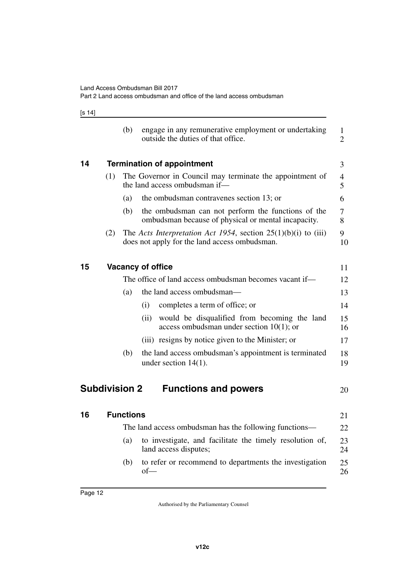[s 14]

<span id="page-13-7"></span><span id="page-13-6"></span><span id="page-13-5"></span><span id="page-13-4"></span><span id="page-13-3"></span><span id="page-13-2"></span><span id="page-13-1"></span><span id="page-13-0"></span>

|    |                      | (b)              | engage in any remunerative employment or undertaking<br>outside the duties of that office.                        | $\mathbf{1}$<br>$\overline{2}$ |
|----|----------------------|------------------|-------------------------------------------------------------------------------------------------------------------|--------------------------------|
| 14 |                      |                  | <b>Termination of appointment</b>                                                                                 | 3                              |
|    | (1)                  |                  | The Governor in Council may terminate the appointment of<br>the land access ombudsman if-                         | $\overline{4}$<br>5            |
|    |                      | (a)              | the ombudsman contravenes section 13; or                                                                          | 6                              |
|    |                      | (b)              | the ombudsman can not perform the functions of the<br>ombudsman because of physical or mental incapacity.         | 7<br>8                         |
|    | (2)                  |                  | The Acts Interpretation Act 1954, section $25(1)(b)(i)$ to (iii)<br>does not apply for the land access ombudsman. | 9<br>10                        |
| 15 |                      |                  | <b>Vacancy of office</b>                                                                                          | 11                             |
|    |                      |                  | The office of land access ombudsman becomes vacant if-                                                            | 12                             |
|    |                      | (a)              | the land access ombudsman—                                                                                        | 13                             |
|    |                      |                  | completes a term of office; or<br>(i)                                                                             | 14                             |
|    |                      |                  | would be disqualified from becoming the land<br>(ii)<br>access ombudsman under section $10(1)$ ; or               | 15<br>16                       |
|    |                      |                  | (iii) resigns by notice given to the Minister; or                                                                 | 17                             |
|    |                      | (b)              | the land access ombudsman's appointment is terminated<br>under section $14(1)$ .                                  | 18<br>19                       |
|    | <b>Subdivision 2</b> |                  | <b>Functions and powers</b>                                                                                       | 20                             |
| 16 |                      | <b>Functions</b> |                                                                                                                   | 21                             |
|    |                      |                  | The land access ombudsman has the following functions—                                                            | 22                             |
|    |                      | (a)              | to investigate, and facilitate the timely resolution of,<br>land access disputes;                                 | 23<br>24                       |
|    |                      | (b)              | to refer or recommend to departments the investigation<br>$of$ —                                                  | 25<br>26                       |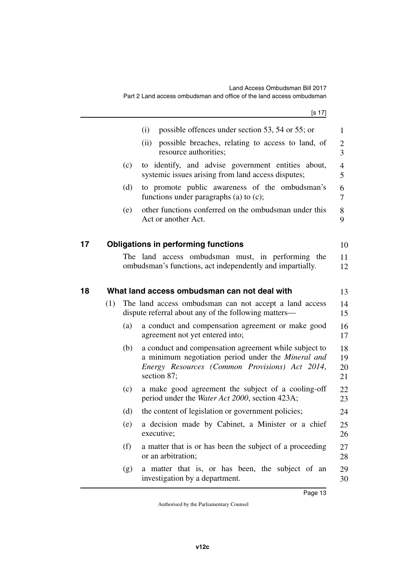<span id="page-14-3"></span><span id="page-14-2"></span><span id="page-14-1"></span><span id="page-14-0"></span>

|    |     |     | [s 17]                                                                                                                                                                       |                      |
|----|-----|-----|------------------------------------------------------------------------------------------------------------------------------------------------------------------------------|----------------------|
|    |     |     | possible offences under section 53, 54 or 55; or<br>(i)                                                                                                                      | 1                    |
|    |     |     | possible breaches, relating to access to land, of<br>(ii)<br>resource authorities;                                                                                           | $\overline{c}$<br>3  |
|    |     | (c) | to identify, and advise government entities about,<br>systemic issues arising from land access disputes;                                                                     | $\overline{4}$<br>5  |
|    |     | (d) | to promote public awareness of the ombudsman's<br>functions under paragraphs (a) to $(c)$ ;                                                                                  | 6<br>7               |
|    |     | (e) | other functions conferred on the ombudsman under this<br>Act or another Act.                                                                                                 | 8<br>9               |
| 17 |     |     | <b>Obligations in performing functions</b>                                                                                                                                   | 10                   |
|    |     |     | The land access ombudsman must, in performing the<br>ombudsman's functions, act independently and impartially.                                                               | 11<br>12             |
| 18 |     |     | What land access ombudsman can not deal with                                                                                                                                 | 13                   |
|    | (1) |     | The land access ombudsman can not accept a land access<br>dispute referral about any of the following matters-                                                               | 14<br>15             |
|    |     | (a) | a conduct and compensation agreement or make good<br>agreement not yet entered into;                                                                                         | 16<br>17             |
|    |     | (b) | a conduct and compensation agreement while subject to<br>a minimum negotiation period under the Mineral and<br>Energy Resources (Common Provisions) Act 2014,<br>section 87; | 18<br>19<br>20<br>21 |
|    |     | (c) | a make good agreement the subject of a cooling-off<br>period under the <i>Water Act 2000</i> , section 423A;                                                                 | 22<br>23             |
|    |     | (d) | the content of legislation or government policies;                                                                                                                           | 24                   |
|    |     | (e) | a decision made by Cabinet, a Minister or a chief<br>executive;                                                                                                              | 25<br>26             |
|    |     | (f) | a matter that is or has been the subject of a proceeding<br>or an arbitration;                                                                                               | 27<br>28             |
|    |     | (g) | a matter that is, or has been, the subject of an<br>investigation by a department.                                                                                           | 29<br>30             |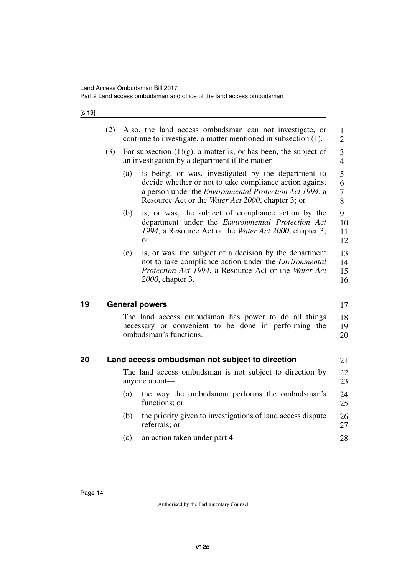### [s 19]

<span id="page-15-3"></span><span id="page-15-2"></span><span id="page-15-1"></span><span id="page-15-0"></span>

|    | (2) | Also, the land access ombudsman can not investigate, or<br>1<br>continue to investigate, a matter mentioned in subsection (1).<br>$\overline{2}$                                                                                                                          |                      |
|----|-----|---------------------------------------------------------------------------------------------------------------------------------------------------------------------------------------------------------------------------------------------------------------------------|----------------------|
|    | (3) | For subsection $(1)(g)$ , a matter is, or has been, the subject of<br>3<br>$\overline{4}$<br>an investigation by a department if the matter—                                                                                                                              |                      |
|    |     | is being, or was, investigated by the department to<br>(a)<br>5<br>decide whether or not to take compliance action against<br>6<br>a person under the <i>Environmental Protection Act 1994</i> , a<br>7<br>8<br>Resource Act or the <i>Water Act 2000</i> , chapter 3; or |                      |
|    |     | is, or was, the subject of compliance action by the<br>(b)<br>department under the <i>Environmental Protection Act</i><br>1994, a Resource Act or the Water Act 2000, chapter 3;<br><sub>or</sub>                                                                         | 9<br>10<br>11<br>12  |
|    |     | is, or was, the subject of a decision by the department<br>(c)<br>not to take compliance action under the Environmental<br>Protection Act 1994, a Resource Act or the Water Act<br>2000, chapter 3.                                                                       | 13<br>14<br>15<br>16 |
| 19 |     | <b>General powers</b>                                                                                                                                                                                                                                                     | 17                   |
|    |     | The land access ombudsman has power to do all things<br>necessary or convenient to be done in performing the<br>ombudsman's functions.                                                                                                                                    | 18<br>19<br>20       |
| 20 |     | Land access ombudsman not subject to direction                                                                                                                                                                                                                            | 21                   |
|    |     | The land access ombudsman is not subject to direction by<br>anyone about—                                                                                                                                                                                                 | 22<br>23             |
|    |     | the way the ombudsman performs the ombudsman's<br>(a)<br>functions; or                                                                                                                                                                                                    | 24<br>25             |
|    |     | (b)<br>the priority given to investigations of land access dispute<br>referrals; or                                                                                                                                                                                       | 26<br>27             |
|    |     | an action taken under part 4.<br>(c)                                                                                                                                                                                                                                      | 28                   |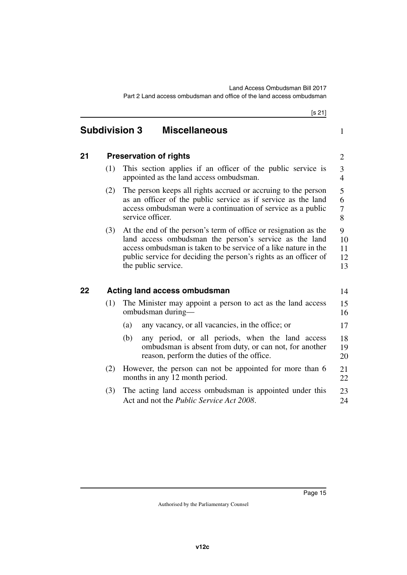<span id="page-16-5"></span><span id="page-16-4"></span><span id="page-16-3"></span><span id="page-16-2"></span><span id="page-16-1"></span><span id="page-16-0"></span>

|    |     | [s 21]                                                                                                                                                                                                                                                                                  |                                  |
|----|-----|-----------------------------------------------------------------------------------------------------------------------------------------------------------------------------------------------------------------------------------------------------------------------------------------|----------------------------------|
|    |     | <b>Subdivision 3</b><br><b>Miscellaneous</b>                                                                                                                                                                                                                                            | $\mathbf{1}$                     |
| 21 |     | <b>Preservation of rights</b>                                                                                                                                                                                                                                                           | $\overline{2}$                   |
|    | (1) | This section applies if an officer of the public service is<br>appointed as the land access ombudsman.                                                                                                                                                                                  | $\mathfrak{Z}$<br>$\overline{4}$ |
|    | (2) | The person keeps all rights accrued or accruing to the person<br>as an officer of the public service as if service as the land<br>access ombudsman were a continuation of service as a public<br>service officer.                                                                       | 5<br>6<br>7<br>8                 |
|    | (3) | At the end of the person's term of office or resignation as the<br>land access ombudsman the person's service as the land<br>access ombudsman is taken to be service of a like nature in the<br>public service for deciding the person's rights as an officer of<br>the public service. | 9<br>10<br>11<br>12<br>13        |
| 22 |     | <b>Acting land access ombudsman</b>                                                                                                                                                                                                                                                     | 14                               |
|    | (1) | The Minister may appoint a person to act as the land access<br>ombudsman during-                                                                                                                                                                                                        | 15<br>16                         |
|    |     | any vacancy, or all vacancies, in the office; or<br>(a)                                                                                                                                                                                                                                 | 17                               |
|    |     | (b)<br>any period, or all periods, when the land access<br>ombudsman is absent from duty, or can not, for another<br>reason, perform the duties of the office.                                                                                                                          | 18<br>19<br>20                   |
|    | (2) | However, the person can not be appointed for more than 6<br>months in any 12 month period.                                                                                                                                                                                              | 21<br>22                         |
|    | (3) | The acting land access ombudsman is appointed under this<br>Act and not the <i>Public Service Act 2008</i> .                                                                                                                                                                            | 23<br>24                         |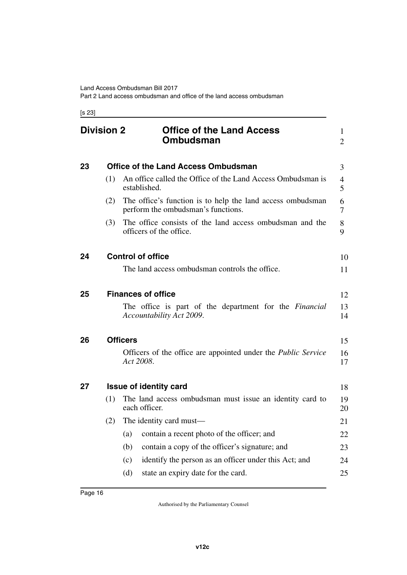[s 23]

<span id="page-17-11"></span><span id="page-17-10"></span><span id="page-17-9"></span><span id="page-17-8"></span><span id="page-17-7"></span><span id="page-17-6"></span><span id="page-17-5"></span><span id="page-17-4"></span><span id="page-17-3"></span><span id="page-17-2"></span><span id="page-17-1"></span><span id="page-17-0"></span>

|    | <b>Division 2</b> | <b>Office of the Land Access</b><br>Ombudsman                                                    | 1<br>2   |
|----|-------------------|--------------------------------------------------------------------------------------------------|----------|
| 23 |                   | <b>Office of the Land Access Ombudsman</b>                                                       | 3        |
|    | (1)               | An office called the Office of the Land Access Ombudsman is<br>established.                      | 4<br>5   |
|    | (2)               | The office's function is to help the land access ombudsman<br>perform the ombudsman's functions. | 6<br>7   |
|    | (3)               | The office consists of the land access ombudsman and the<br>officers of the office.              | 8<br>9   |
| 24 |                   | <b>Control of office</b>                                                                         | 10       |
|    |                   | The land access ombudsman controls the office.                                                   | 11       |
| 25 |                   | <b>Finances of office</b>                                                                        | 12       |
|    |                   | The office is part of the department for the <i>Financial</i><br>Accountability Act 2009.        | 13<br>14 |
| 26 |                   | <b>Officers</b>                                                                                  | 15       |
|    |                   | Officers of the office are appointed under the Public Service<br>Act 2008.                       | 16<br>17 |
| 27 |                   | <b>Issue of identity card</b>                                                                    | 18       |
|    | (1)               | The land access ombudsman must issue an identity card to<br>each officer.                        | 19<br>20 |
|    | (2)               | The identity card must—                                                                          | 21       |
|    |                   | contain a recent photo of the officer; and<br>(a)                                                | 22       |
|    |                   | (b)<br>contain a copy of the officer's signature; and                                            | 23       |
|    |                   | identify the person as an officer under this Act; and<br>(c)                                     | 24       |
|    |                   | state an expiry date for the card.<br>(d)                                                        | 25       |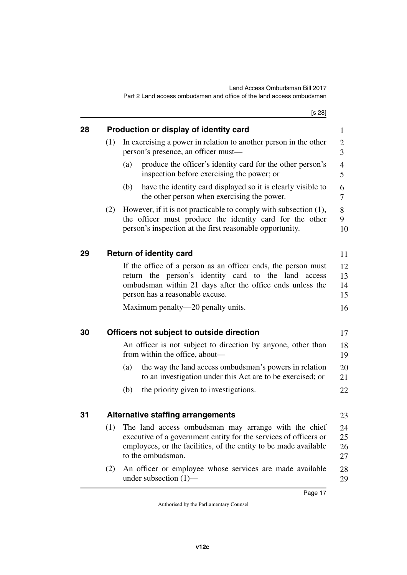<span id="page-18-7"></span><span id="page-18-6"></span><span id="page-18-5"></span><span id="page-18-4"></span><span id="page-18-3"></span><span id="page-18-2"></span><span id="page-18-1"></span><span id="page-18-0"></span>

|    |                                        | [s 28]                                                                                                                                                                                                                |                      |  |  |  |
|----|----------------------------------------|-----------------------------------------------------------------------------------------------------------------------------------------------------------------------------------------------------------------------|----------------------|--|--|--|
| 28 | Production or display of identity card |                                                                                                                                                                                                                       |                      |  |  |  |
|    | (1)                                    | In exercising a power in relation to another person in the other<br>person's presence, an officer must-                                                                                                               | 2<br>3               |  |  |  |
|    |                                        | produce the officer's identity card for the other person's<br>(a)<br>inspection before exercising the power; or                                                                                                       | 4<br>5               |  |  |  |
|    |                                        | have the identity card displayed so it is clearly visible to<br>(b)<br>the other person when exercising the power.                                                                                                    | 6<br>7               |  |  |  |
|    | (2)                                    | However, if it is not practicable to comply with subsection $(1)$ ,<br>the officer must produce the identity card for the other<br>person's inspection at the first reasonable opportunity.                           | 8<br>9<br>10         |  |  |  |
| 29 |                                        | <b>Return of identity card</b>                                                                                                                                                                                        | 11                   |  |  |  |
|    |                                        | If the office of a person as an officer ends, the person must<br>return the person's identity card to the land access<br>ombudsman within 21 days after the office ends unless the<br>person has a reasonable excuse. | 12<br>13<br>14<br>15 |  |  |  |
|    |                                        | Maximum penalty—20 penalty units.                                                                                                                                                                                     | 16                   |  |  |  |
| 30 |                                        | Officers not subject to outside direction                                                                                                                                                                             | 17                   |  |  |  |
|    |                                        | An officer is not subject to direction by anyone, other than<br>from within the office, about—                                                                                                                        | 18<br>19             |  |  |  |
|    |                                        | (a)<br>the way the land access ombudsman's powers in relation<br>to an investigation under this Act are to be exercised; or                                                                                           | 20<br>21             |  |  |  |
|    |                                        | the priority given to investigations.<br>(b)                                                                                                                                                                          | 22                   |  |  |  |
| 31 |                                        | Alternative staffing arrangements                                                                                                                                                                                     | 23                   |  |  |  |
|    | (1)                                    | The land access ombudsman may arrange with the chief<br>executive of a government entity for the services of officers or<br>employees, or the facilities, of the entity to be made available<br>to the ombudsman.     | 24<br>25<br>26<br>27 |  |  |  |
|    | (2)                                    | An officer or employee whose services are made available<br>under subsection $(1)$ —                                                                                                                                  | 28<br>29             |  |  |  |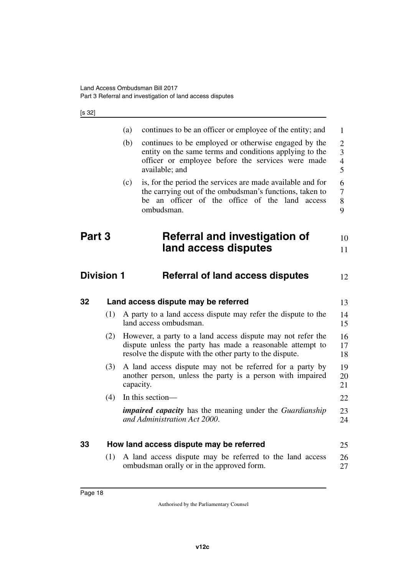[s 32]

<span id="page-19-7"></span><span id="page-19-6"></span><span id="page-19-5"></span><span id="page-19-4"></span><span id="page-19-3"></span><span id="page-19-2"></span><span id="page-19-1"></span><span id="page-19-0"></span>

|        |                   | (a) | continues to be an officer or employee of the entity; and                                                                                                                              | $\mathbf{1}$                                            |
|--------|-------------------|-----|----------------------------------------------------------------------------------------------------------------------------------------------------------------------------------------|---------------------------------------------------------|
|        |                   | (b) | continues to be employed or otherwise engaged by the<br>entity on the same terms and conditions applying to the<br>officer or employee before the services were made<br>available; and | $\overline{2}$<br>3<br>$\overline{4}$<br>$\overline{5}$ |
|        |                   | (c) | is, for the period the services are made available and for<br>the carrying out of the ombudsman's functions, taken to<br>be an officer of the office of the land access<br>ombudsman.  | 6<br>$\tau$<br>8<br>9                                   |
| Part 3 |                   |     | Referral and investigation of                                                                                                                                                          | 10                                                      |
|        |                   |     | land access disputes                                                                                                                                                                   | 11                                                      |
|        | <b>Division 1</b> |     | <b>Referral of land access disputes</b>                                                                                                                                                | 12                                                      |
| 32     |                   |     | Land access dispute may be referred                                                                                                                                                    | 13                                                      |
|        | (1)               |     | A party to a land access dispute may refer the dispute to the<br>land access ombudsman.                                                                                                | 14<br>15                                                |
|        | (2)               |     | However, a party to a land access dispute may not refer the<br>dispute unless the party has made a reasonable attempt to<br>resolve the dispute with the other party to the dispute.   | 16<br>17<br>18                                          |
|        | (3)               |     | A land access dispute may not be referred for a party by<br>another person, unless the party is a person with impaired<br>capacity.                                                    | 19<br>20<br>21                                          |
|        | (4)               |     | In this section-                                                                                                                                                                       | 22                                                      |
|        |                   |     | <i>impaired capacity</i> has the meaning under the <i>Guardianship</i><br>and Administration Act 2000.                                                                                 | 23<br>24                                                |
| 33     |                   |     | How land access dispute may be referred                                                                                                                                                | 25                                                      |
|        | (1)               |     | A land access dispute may be referred to the land access<br>ombudsman orally or in the approved form.                                                                                  | 26<br>27                                                |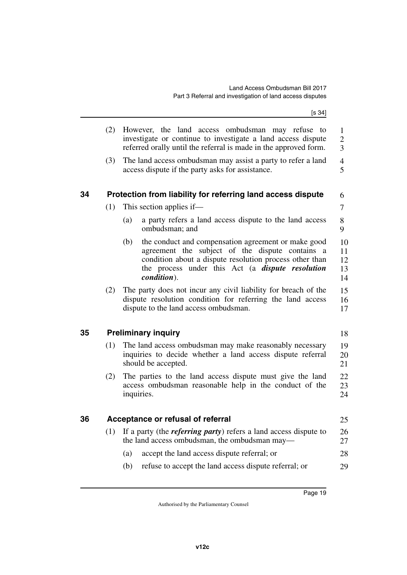$[s \underline{34}]$ 

<span id="page-20-5"></span><span id="page-20-4"></span><span id="page-20-3"></span><span id="page-20-2"></span><span id="page-20-1"></span><span id="page-20-0"></span>

|    | (2) | However, the land access ombudsman may refuse to<br>investigate or continue to investigate a land access dispute<br>referred orally until the referral is made in the approved form.                                                               | 1<br>$\overline{2}$<br>$\overline{3}$ |
|----|-----|----------------------------------------------------------------------------------------------------------------------------------------------------------------------------------------------------------------------------------------------------|---------------------------------------|
|    | (3) | The land access ombudsman may assist a party to refer a land<br>access dispute if the party asks for assistance.                                                                                                                                   | $\overline{4}$<br>5                   |
| 34 |     | Protection from liability for referring land access dispute                                                                                                                                                                                        | 6                                     |
|    | (1) | This section applies if—                                                                                                                                                                                                                           | 7                                     |
|    |     | a party refers a land access dispute to the land access<br>(a)<br>ombudsman; and                                                                                                                                                                   | 8<br>9                                |
|    |     | (b)<br>the conduct and compensation agreement or make good<br>agreement the subject of the dispute contains a<br>condition about a dispute resolution process other than<br>the process under this Act (a <i>dispute resolution</i><br>condition). | 10<br>11<br>12<br>13<br>14            |
|    | (2) | The party does not incur any civil liability for breach of the<br>dispute resolution condition for referring the land access<br>dispute to the land access ombudsman.                                                                              | 15<br>16<br>17                        |
| 35 |     | <b>Preliminary inquiry</b>                                                                                                                                                                                                                         | 18                                    |
|    | (1) | The land access ombudsman may make reasonably necessary<br>inquiries to decide whether a land access dispute referral<br>should be accepted.                                                                                                       | 19<br>20<br>21                        |
|    | (2) | The parties to the land access dispute must give the land<br>access ombudsman reasonable help in the conduct of the<br>inquiries.                                                                                                                  | 22<br>23<br>24                        |
| 36 |     | Acceptance or refusal of referral                                                                                                                                                                                                                  | 25                                    |
|    | (1) | If a party (the <i>referring party</i> ) refers a land access dispute to<br>the land access ombudsman, the ombudsman may—                                                                                                                          | 26<br>27                              |
|    |     | accept the land access dispute referral; or<br>(a)                                                                                                                                                                                                 | 28                                    |
|    |     | refuse to accept the land access dispute referral; or<br>(b)                                                                                                                                                                                       | 29                                    |
|    |     |                                                                                                                                                                                                                                                    |                                       |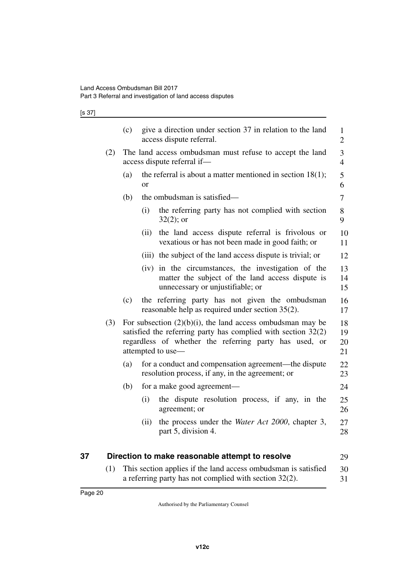[s 37]

|     | (c) | give a direction under section 37 in relation to the land<br>access dispute referral.                                                                                                                           | $\mathbf{1}$<br>$\overline{2}$ |
|-----|-----|-----------------------------------------------------------------------------------------------------------------------------------------------------------------------------------------------------------------|--------------------------------|
| (2) |     | The land access ombudsman must refuse to accept the land<br>access dispute referral if-                                                                                                                         | 3<br>$\overline{4}$            |
|     | (a) | the referral is about a matter mentioned in section $18(1)$ ;<br><sub>or</sub>                                                                                                                                  | 5<br>6                         |
|     | (b) | the ombudsman is satisfied—                                                                                                                                                                                     | $\overline{7}$                 |
|     |     | (i)<br>the referring party has not complied with section<br>$32(2)$ ; or                                                                                                                                        | 8<br>9                         |
|     |     | the land access dispute referral is frivolous or<br>(ii)<br>vexatious or has not been made in good faith; or                                                                                                    | 10<br>11                       |
|     |     | (iii) the subject of the land access dispute is trivial; or                                                                                                                                                     | 12                             |
|     |     | (iv) in the circumstances, the investigation of the<br>matter the subject of the land access dispute is<br>unnecessary or unjustifiable; or                                                                     | 13<br>14<br>15                 |
|     | (c) | the referring party has not given the ombudsman<br>reasonable help as required under section 35(2).                                                                                                             | 16<br>17                       |
| (3) |     | For subsection $(2)(b)(i)$ , the land access ombudsman may be<br>satisfied the referring party has complied with section $32(2)$<br>regardless of whether the referring party has used, or<br>attempted to use- | 18<br>19<br>20<br>21           |
|     | (a) | for a conduct and compensation agreement—the dispute<br>resolution process, if any, in the agreement; or                                                                                                        | 22<br>23                       |
|     | (b) | for a make good agreement—                                                                                                                                                                                      | 24                             |
|     |     | the dispute resolution process, if any, in the<br>(i)<br>agreement; or                                                                                                                                          | 25<br>26                       |
|     |     | the process under the <i>Water Act 2000</i> , chapter 3,<br>(ii)<br>part 5, division 4.                                                                                                                         | 27<br>28                       |
|     |     | Direction to make reasonable attempt to resolve                                                                                                                                                                 | 29                             |
| (1) |     | This section applies if the land access ombudsman is satisfied                                                                                                                                                  | 30                             |

<span id="page-21-1"></span><span id="page-21-0"></span>a referring party has not complied with section 32(2).

31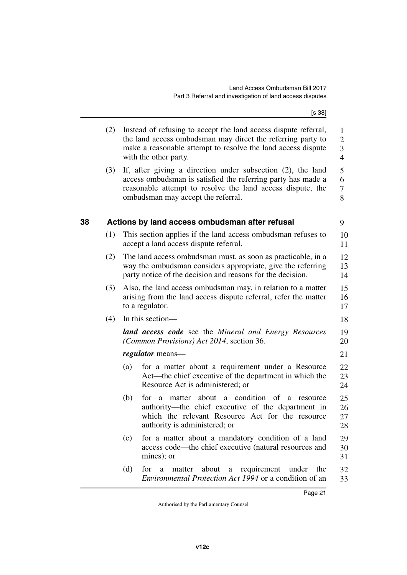[s 38]

<span id="page-22-1"></span><span id="page-22-0"></span>

|    | (2) | Instead of refusing to accept the land access dispute referral,<br>the land access ombudsman may direct the referring party to<br>make a reasonable attempt to resolve the land access dispute<br>with the other party.         | 1<br>$\overline{2}$<br>3<br>$\overline{4}$ |
|----|-----|---------------------------------------------------------------------------------------------------------------------------------------------------------------------------------------------------------------------------------|--------------------------------------------|
|    | (3) | If, after giving a direction under subsection (2), the land<br>access ombudsman is satisfied the referring party has made a<br>reasonable attempt to resolve the land access dispute, the<br>ombudsman may accept the referral. | 5<br>6<br>7<br>8                           |
| 38 |     | Actions by land access ombudsman after refusal                                                                                                                                                                                  | 9                                          |
|    | (1) | This section applies if the land access ombudsman refuses to<br>accept a land access dispute referral.                                                                                                                          | 10<br>11                                   |
|    | (2) | The land access ombudsman must, as soon as practicable, in a<br>way the ombudsman considers appropriate, give the referring<br>party notice of the decision and reasons for the decision.                                       | 12<br>13<br>14                             |
|    | (3) | Also, the land access ombudsman may, in relation to a matter<br>arising from the land access dispute referral, refer the matter<br>to a regulator.                                                                              | 15<br>16<br>17                             |
|    | (4) | In this section—                                                                                                                                                                                                                | 18                                         |
|    |     | <b>land access code</b> see the Mineral and Energy Resources<br><i>(Common Provisions) Act 2014, section 36.</i>                                                                                                                | 19<br>20                                   |
|    |     | <i>regulator</i> means—                                                                                                                                                                                                         | 21                                         |
|    |     | for a matter about a requirement under a Resource<br>(a)<br>Act—the chief executive of the department in which the<br>Resource Act is administered; or                                                                          | 22<br>23<br>24                             |
|    |     | (b)<br>about a condition of<br>for<br>matter<br>a<br>a<br>resource<br>authority—the chief executive of the department in<br>which the relevant Resource Act for the resource<br>authority is administered; or                   | 25<br>26<br>27<br>28                       |
|    |     | for a matter about a mandatory condition of a land<br>(c)<br>access code—the chief executive (natural resources and<br>mines); or                                                                                               | 29<br>30<br>31                             |
|    |     | (d)<br>requirement<br>for<br><sub>a</sub><br>about<br>under<br>the<br>matter<br>a<br>Environmental Protection Act 1994 or a condition of an                                                                                     | 32<br>33                                   |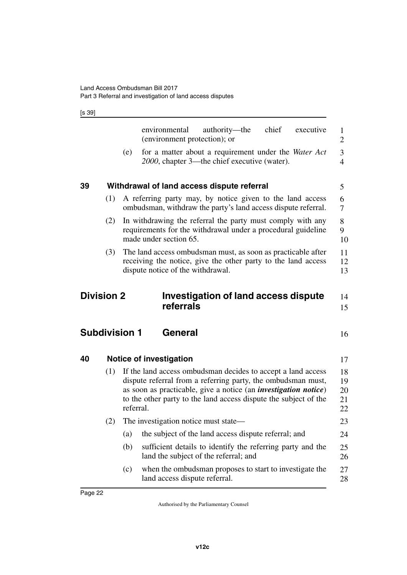[s 39]

<span id="page-23-7"></span><span id="page-23-6"></span><span id="page-23-5"></span><span id="page-23-4"></span><span id="page-23-3"></span><span id="page-23-2"></span><span id="page-23-1"></span><span id="page-23-0"></span>

|    |                      |           | environmental<br>(environment protection); or | authority—the                                                                                                                                                                                                                                                               | chief | executive | 1<br>$\overline{2}$        |
|----|----------------------|-----------|-----------------------------------------------|-----------------------------------------------------------------------------------------------------------------------------------------------------------------------------------------------------------------------------------------------------------------------------|-------|-----------|----------------------------|
|    |                      | (e)       |                                               | for a matter about a requirement under the Water Act<br>2000, chapter 3—the chief executive (water).                                                                                                                                                                        |       |           | 3<br>$\overline{4}$        |
| 39 |                      |           |                                               | Withdrawal of land access dispute referral                                                                                                                                                                                                                                  |       |           | 5                          |
|    | (1)                  |           |                                               | A referring party may, by notice given to the land access<br>ombudsman, withdraw the party's land access dispute referral.                                                                                                                                                  |       |           | 6<br>7                     |
|    | (2)                  |           | made under section 65.                        | In withdrawing the referral the party must comply with any<br>requirements for the withdrawal under a procedural guideline                                                                                                                                                  |       |           | 8<br>9<br>10               |
|    | (3)                  |           | dispute notice of the withdrawal.             | The land access ombudsman must, as soon as practicable after<br>receiving the notice, give the other party to the land access                                                                                                                                               |       |           | 11<br>12<br>13             |
|    |                      |           |                                               |                                                                                                                                                                                                                                                                             |       |           |                            |
|    | <b>Division 2</b>    |           | referrals                                     | <b>Investigation of land access dispute</b>                                                                                                                                                                                                                                 |       |           | 14<br>15                   |
|    | <b>Subdivision 1</b> |           | General                                       |                                                                                                                                                                                                                                                                             |       |           | 16                         |
| 40 |                      |           | <b>Notice of investigation</b>                |                                                                                                                                                                                                                                                                             |       |           | 17                         |
|    | (1)                  | referral. |                                               | If the land access ombudsman decides to accept a land access<br>dispute referral from a referring party, the ombudsman must,<br>as soon as practicable, give a notice (an <i>investigation notice</i> )<br>to the other party to the land access dispute the subject of the |       |           | 18<br>19<br>20<br>21<br>22 |
|    | (2)                  |           | The investigation notice must state—          |                                                                                                                                                                                                                                                                             |       |           | 23                         |
|    |                      | (a)       |                                               | the subject of the land access dispute referral; and                                                                                                                                                                                                                        |       |           | 24                         |
|    |                      | (b)       |                                               | sufficient details to identify the referring party and the<br>land the subject of the referral; and                                                                                                                                                                         |       |           | 25<br>26                   |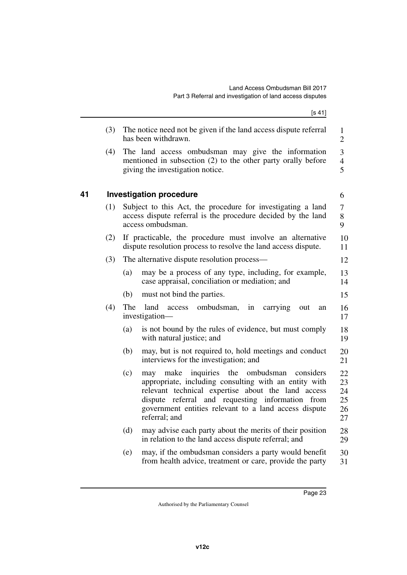$[s 41]$ 

<span id="page-24-1"></span><span id="page-24-0"></span>

|    | (3) | The notice need not be given if the land access dispute referral<br>has been withdrawn.                                                                                                                                                                                                                          | $\mathbf{1}$<br>$\boldsymbol{2}$ |
|----|-----|------------------------------------------------------------------------------------------------------------------------------------------------------------------------------------------------------------------------------------------------------------------------------------------------------------------|----------------------------------|
|    | (4) | The land access ombudsman may give the information<br>mentioned in subsection (2) to the other party orally before<br>giving the investigation notice.                                                                                                                                                           | 3<br>$\overline{4}$<br>5         |
| 41 |     | <b>Investigation procedure</b>                                                                                                                                                                                                                                                                                   | 6                                |
|    | (1) | Subject to this Act, the procedure for investigating a land<br>access dispute referral is the procedure decided by the land<br>access ombudsman.                                                                                                                                                                 | $\tau$<br>8<br>9                 |
|    | (2) | If practicable, the procedure must involve an alternative<br>dispute resolution process to resolve the land access dispute.                                                                                                                                                                                      | 10<br>11                         |
|    | (3) | The alternative dispute resolution process—                                                                                                                                                                                                                                                                      | 12                               |
|    |     | may be a process of any type, including, for example,<br>(a)<br>case appraisal, conciliation or mediation; and                                                                                                                                                                                                   | 13<br>14                         |
|    |     | (b)<br>must not bind the parties.                                                                                                                                                                                                                                                                                | 15                               |
|    | (4) | The<br>land<br>ombudsman,<br>in<br>carrying<br>access<br>out<br>an<br>investigation-                                                                                                                                                                                                                             | 16<br>17                         |
|    |     | (a)<br>is not bound by the rules of evidence, but must comply<br>with natural justice; and                                                                                                                                                                                                                       | 18<br>19                         |
|    |     | may, but is not required to, hold meetings and conduct<br>(b)<br>interviews for the investigation; and                                                                                                                                                                                                           | 20<br>21                         |
|    |     | (c)<br>the<br>ombudsman<br>make<br>inquiries<br>considers<br>may<br>appropriate, including consulting with an entity with<br>relevant technical expertise about the land access<br>referral and requesting information from<br>dispute<br>government entities relevant to a land access dispute<br>referral; and | 22<br>23<br>24<br>25<br>26<br>27 |
|    |     | (d)<br>may advise each party about the merits of their position<br>in relation to the land access dispute referral; and                                                                                                                                                                                          | 28<br>29                         |
|    |     | (e)<br>may, if the ombudsman considers a party would benefit<br>from health advice, treatment or care, provide the party                                                                                                                                                                                         | 30<br>31                         |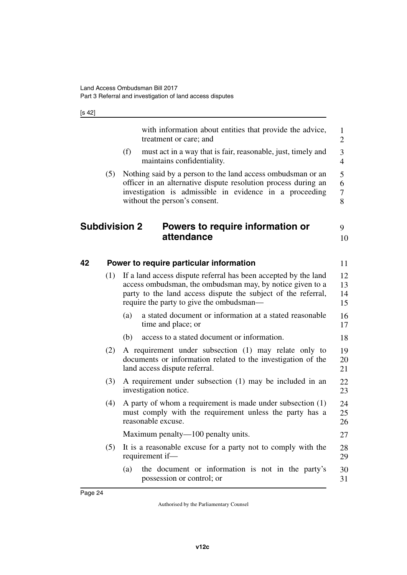[s 42]

<span id="page-25-3"></span><span id="page-25-2"></span><span id="page-25-1"></span><span id="page-25-0"></span>

|    |                      |     | with information about entities that provide the advice,<br>treatment or care; and                                                                                                                                                        | 1<br>$\overline{2}$  |
|----|----------------------|-----|-------------------------------------------------------------------------------------------------------------------------------------------------------------------------------------------------------------------------------------------|----------------------|
|    |                      | (f) | must act in a way that is fair, reasonable, just, timely and<br>maintains confidentiality.                                                                                                                                                | 3<br>$\overline{4}$  |
|    | (5)                  |     | Nothing said by a person to the land access ombudsman or an<br>officer in an alternative dispute resolution process during an<br>investigation is admissible in evidence in a proceeding<br>without the person's consent.                 | 5<br>6<br>7<br>8     |
|    | <b>Subdivision 2</b> |     | Powers to require information or<br>attendance                                                                                                                                                                                            | 9<br>10              |
| 42 |                      |     | Power to require particular information                                                                                                                                                                                                   | 11                   |
|    | (1)                  |     | If a land access dispute referral has been accepted by the land<br>access ombudsman, the ombudsman may, by notice given to a<br>party to the land access dispute the subject of the referral,<br>require the party to give the ombudsman— | 12<br>13<br>14<br>15 |
|    |                      | (a) | a stated document or information at a stated reasonable<br>time and place; or                                                                                                                                                             | 16<br>17             |
|    |                      | (b) | access to a stated document or information.                                                                                                                                                                                               | 18                   |
|    | (2)                  |     | A requirement under subsection (1) may relate only to<br>documents or information related to the investigation of the<br>land access dispute referral.                                                                                    | 19<br>20<br>21       |
|    | (3)                  |     | A requirement under subsection (1) may be included in an<br>investigation notice.                                                                                                                                                         | 22<br>23             |
|    | (4)                  |     | A party of whom a requirement is made under subsection (1)<br>must comply with the requirement unless the party has a<br>reasonable excuse.                                                                                               | 24<br>25<br>26       |
|    |                      |     | Maximum penalty—100 penalty units.                                                                                                                                                                                                        | 27                   |
|    | (5)                  |     | It is a reasonable excuse for a party not to comply with the<br>requirement if-                                                                                                                                                           | 28<br>29             |
|    |                      | (a) | the document or information is not in the party's<br>possession or control; or                                                                                                                                                            | 30<br>31             |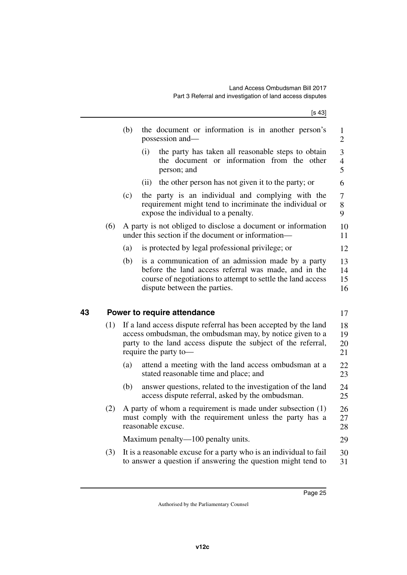<span id="page-26-1"></span><span id="page-26-0"></span>

|    |     | (b)<br>the document or information is in another person's<br>possession and-                                                                                                                                           | $\mathbf{1}$<br>$\mathbf{2}$ |
|----|-----|------------------------------------------------------------------------------------------------------------------------------------------------------------------------------------------------------------------------|------------------------------|
|    |     | (i)<br>the party has taken all reasonable steps to obtain<br>the document or information from the other<br>person; and                                                                                                 | 3<br>$\overline{4}$<br>5     |
|    |     | the other person has not given it to the party; or<br>(ii)                                                                                                                                                             | 6                            |
|    |     | (c)<br>the party is an individual and complying with the<br>requirement might tend to incriminate the individual or<br>expose the individual to a penalty.                                                             | $\tau$<br>8<br>9             |
|    | (6) | A party is not obliged to disclose a document or information<br>under this section if the document or information-                                                                                                     | 10<br>11                     |
|    |     | is protected by legal professional privilege; or<br>(a)                                                                                                                                                                | 12                           |
|    |     | (b)<br>is a communication of an admission made by a party<br>before the land access referral was made, and in the<br>course of negotiations to attempt to settle the land access<br>dispute between the parties.       | 13<br>14<br>15<br>16         |
| 43 |     | Power to require attendance                                                                                                                                                                                            | 17                           |
|    | (1) | If a land access dispute referral has been accepted by the land<br>access ombudsman, the ombudsman may, by notice given to a<br>party to the land access dispute the subject of the referral,<br>require the party to- | 18<br>19<br>20<br>21         |
|    |     | (a)<br>attend a meeting with the land access ombudsman at a<br>stated reasonable time and place; and                                                                                                                   | 22<br>23                     |
|    |     | answer questions, related to the investigation of the land<br>(b)<br>access dispute referral, asked by the ombudsman.                                                                                                  | 24<br>25                     |
|    | (2) | A party of whom a requirement is made under subsection $(1)$<br>must comply with the requirement unless the party has a<br>reasonable excuse.                                                                          | 26<br>27<br>28               |
|    |     | Maximum penalty—100 penalty units.                                                                                                                                                                                     | 29                           |
|    | (3) | It is a reasonable excuse for a party who is an individual to fail<br>to answer a question if answering the question might tend to                                                                                     | 30<br>31                     |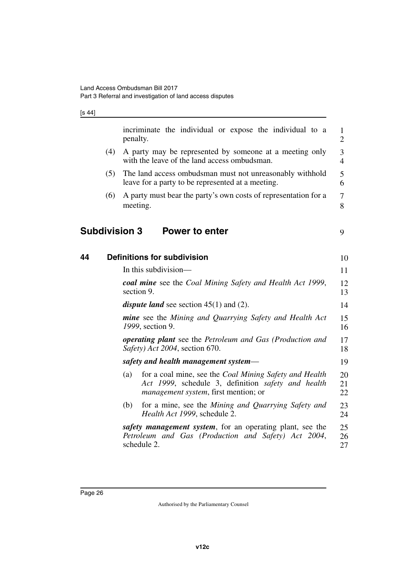<span id="page-27-3"></span><span id="page-27-2"></span><span id="page-27-1"></span><span id="page-27-0"></span>

|    |     | incriminate the individual or expose the individual to a<br>penalty.                                                                                                | $\mathbf{1}$<br>$\overline{2}$ |
|----|-----|---------------------------------------------------------------------------------------------------------------------------------------------------------------------|--------------------------------|
|    | (4) | A party may be represented by someone at a meeting only<br>with the leave of the land access ombudsman.                                                             | 3<br>$\overline{4}$            |
|    | (5) | The land access ombudsman must not unreasonably withhold<br>leave for a party to be represented at a meeting.                                                       | 5<br>6                         |
|    | (6) | A party must bear the party's own costs of representation for a<br>meeting.                                                                                         | 7<br>8                         |
|    |     | <b>Subdivision 3</b><br><b>Power to enter</b>                                                                                                                       | 9                              |
| 44 |     | <b>Definitions for subdivision</b>                                                                                                                                  | 10                             |
|    |     | In this subdivision—                                                                                                                                                | 11                             |
|    |     | coal mine see the Coal Mining Safety and Health Act 1999,<br>section 9.                                                                                             | 12<br>13                       |
|    |     | <i>dispute land</i> see section $45(1)$ and (2).                                                                                                                    | 14                             |
|    |     | <b>mine</b> see the Mining and Quarrying Safety and Health Act<br>1999, section 9.                                                                                  | 15<br>16                       |
|    |     | <b>operating plant</b> see the Petroleum and Gas (Production and<br>Safety) Act 2004, section 670.                                                                  | 17<br>18                       |
|    |     | safety and health management system—                                                                                                                                | 19                             |
|    |     | for a coal mine, see the Coal Mining Safety and Health<br>(a)<br>Act 1999, schedule 3, definition safety and health<br><i>management system</i> , first mention; or | 20<br>21<br>22                 |
|    |     | for a mine, see the Mining and Quarrying Safety and<br>(b)<br>Health Act 1999, schedule 2.                                                                          | 23<br>24                       |
|    |     | safety management system, for an operating plant, see the<br>Petroleum and Gas (Production and Safety) Act 2004,<br>schedule 2.                                     | 25<br>26<br>27                 |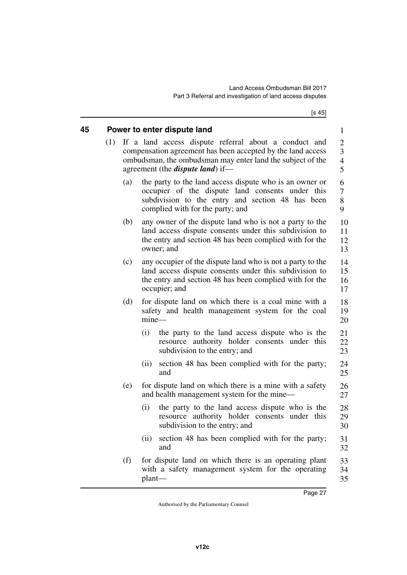[s 45]

<span id="page-28-1"></span><span id="page-28-0"></span>

| 45 |     |     | Power to enter dispute land                                                                                                                                                                                                    | $\mathbf{1}$                            |
|----|-----|-----|--------------------------------------------------------------------------------------------------------------------------------------------------------------------------------------------------------------------------------|-----------------------------------------|
|    | (1) |     | If a land access dispute referral about a conduct and<br>compensation agreement has been accepted by the land access<br>ombudsman, the ombudsman may enter land the subject of the<br>agreement (the <i>dispute land</i> ) if— | 2<br>3<br>$\overline{\mathcal{A}}$<br>5 |
|    |     | (a) | the party to the land access dispute who is an owner or<br>occupier of the dispute land consents under this<br>subdivision to the entry and section 48 has been<br>complied with for the party; and                            | 6<br>7<br>8<br>9                        |
|    |     | (b) | any owner of the dispute land who is not a party to the<br>land access dispute consents under this subdivision to<br>the entry and section 48 has been complied with for the<br>owner; and                                     | 10<br>11<br>12<br>13                    |
|    |     | (c) | any occupier of the dispute land who is not a party to the<br>land access dispute consents under this subdivision to<br>the entry and section 48 has been complied with for the<br>occupier; and                               | 14<br>15<br>16<br>17                    |
|    |     | (d) | for dispute land on which there is a coal mine with a<br>safety and health management system for the coal<br>$mine-$                                                                                                           | 18<br>19<br>20                          |
|    |     |     | (i)<br>the party to the land access dispute who is the<br>resource authority holder consents under this<br>subdivision to the entry; and                                                                                       | 21<br>22<br>23                          |
|    |     |     | section 48 has been complied with for the party;<br>(ii)<br>and                                                                                                                                                                | 24<br>25                                |
|    |     | (e) | for dispute land on which there is a mine with a safety<br>and health management system for the mine—                                                                                                                          | 26<br>27                                |
|    |     |     | the party to the land access dispute who is the<br>(i)<br>resource authority holder consents under this<br>subdivision to the entry; and                                                                                       | 28<br>29<br>30                          |
|    |     |     | section 48 has been complied with for the party;<br>(ii)<br>and                                                                                                                                                                | 31<br>32                                |
|    |     | (f) | for dispute land on which there is an operating plant<br>with a safety management system for the operating<br>plant-                                                                                                           | 33<br>34<br>35                          |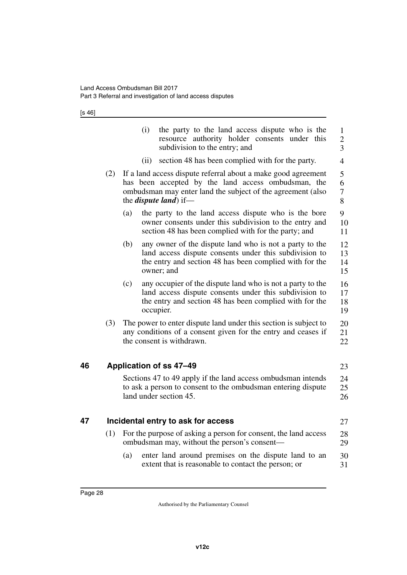[s 46]

<span id="page-29-3"></span><span id="page-29-2"></span><span id="page-29-1"></span><span id="page-29-0"></span>

|    |     | (i)                           | the party to the land access dispute who is the<br>resource authority holder consents under this<br>subdivision to the entry; and                                                   | 1<br>$\overline{2}$<br>$\overline{3}$ |
|----|-----|-------------------------------|-------------------------------------------------------------------------------------------------------------------------------------------------------------------------------------|---------------------------------------|
|    |     | (ii)                          | section 48 has been complied with for the party.                                                                                                                                    | $\overline{4}$                        |
|    | (2) | the <i>dispute land</i> ) if— | If a land access dispute referral about a make good agreement<br>has been accepted by the land access ombudsman, the<br>ombudsman may enter land the subject of the agreement (also | 5<br>6<br>7<br>8                      |
|    |     | (a)                           | the party to the land access dispute who is the bore<br>owner consents under this subdivision to the entry and<br>section 48 has been complied with for the party; and              | 9<br>10<br>11                         |
|    |     | (b)<br>owner; and             | any owner of the dispute land who is not a party to the<br>land access dispute consents under this subdivision to<br>the entry and section 48 has been complied with for the        | 12<br>13<br>14<br>15                  |
|    |     | (c)<br>occupier.              | any occupier of the dispute land who is not a party to the<br>land access dispute consents under this subdivision to<br>the entry and section 48 has been complied with for the     | 16<br>17<br>18<br>19                  |
|    | (3) | the consent is withdrawn.     | The power to enter dispute land under this section is subject to<br>any conditions of a consent given for the entry and ceases if                                                   | 20<br>21<br>22                        |
| 46 |     | Application of ss 47-49       |                                                                                                                                                                                     | 23                                    |
|    |     | land under section 45.        | Sections 47 to 49 apply if the land access ombudsman intends<br>to ask a person to consent to the ombudsman entering dispute                                                        | 24<br>25<br>26                        |
| 47 |     |                               | Incidental entry to ask for access                                                                                                                                                  | 27                                    |
|    | (1) |                               | For the purpose of asking a person for consent, the land access<br>ombudsman may, without the person's consent-                                                                     | 28<br>29                              |
|    |     | (a)                           | enter land around premises on the dispute land to an<br>extent that is reasonable to contact the person; or                                                                         | 30<br>31                              |
|    |     |                               |                                                                                                                                                                                     |                                       |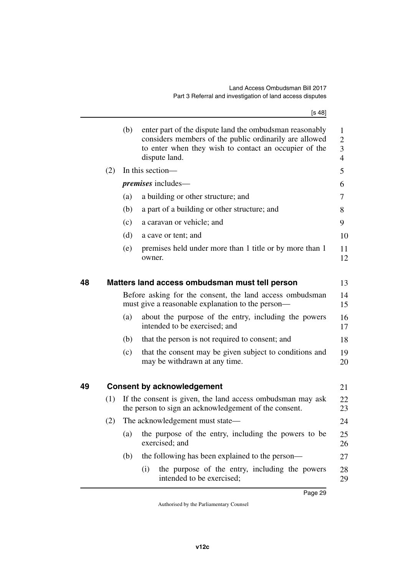[s 48]

<span id="page-30-3"></span><span id="page-30-2"></span><span id="page-30-1"></span><span id="page-30-0"></span>

|    |     | (b) | enter part of the dispute land the ombudsman reasonably<br>considers members of the public ordinarily are allowed<br>to enter when they wish to contact an occupier of the<br>dispute land. | 1<br>2<br>3<br>4 |
|----|-----|-----|---------------------------------------------------------------------------------------------------------------------------------------------------------------------------------------------|------------------|
|    | (2) |     | In this section—                                                                                                                                                                            | 5                |
|    |     |     | <i>premises</i> includes—                                                                                                                                                                   | 6                |
|    |     | (a) | a building or other structure; and                                                                                                                                                          | 7                |
|    |     | (b) | a part of a building or other structure; and                                                                                                                                                | 8                |
|    |     | (c) | a caravan or vehicle; and                                                                                                                                                                   | 9                |
|    |     | (d) | a cave or tent; and                                                                                                                                                                         | 10               |
|    |     | (e) | premises held under more than 1 title or by more than 1<br>owner.                                                                                                                           | 11<br>12         |
| 48 |     |     | Matters land access ombudsman must tell person                                                                                                                                              | 13               |
|    |     |     | Before asking for the consent, the land access ombudsman<br>must give a reasonable explanation to the person—                                                                               | 14<br>15         |
|    |     | (a) | about the purpose of the entry, including the powers<br>intended to be exercised; and                                                                                                       | 16<br>17         |
|    |     | (b) | that the person is not required to consent; and                                                                                                                                             | 18               |
|    |     | (c) | that the consent may be given subject to conditions and<br>may be withdrawn at any time.                                                                                                    | 19<br>20         |
| 49 |     |     | <b>Consent by acknowledgement</b>                                                                                                                                                           | 21               |
|    | (1) |     | If the consent is given, the land access ombudsman may ask<br>the person to sign an acknowledgement of the consent.                                                                         | 22<br>23         |
|    | (2) |     | The acknowledgement must state-                                                                                                                                                             | 24               |
|    |     | (a) | the purpose of the entry, including the powers to be<br>exercised; and                                                                                                                      | 25<br>26         |
|    |     | (b) | the following has been explained to the person—                                                                                                                                             | 27               |
|    |     |     | the purpose of the entry, including the powers<br>(i)<br>intended to be exercised;                                                                                                          | 28<br>29         |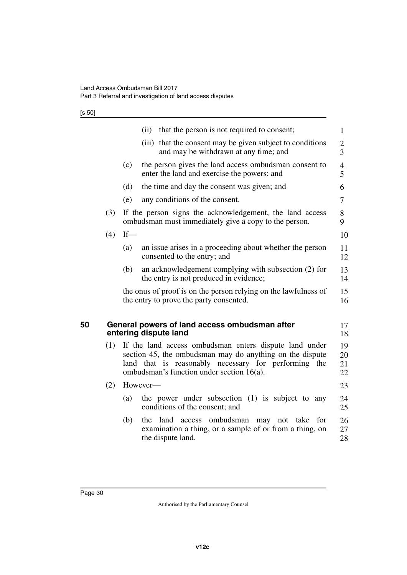[s 50]

<span id="page-31-1"></span><span id="page-31-0"></span>

|    |     |        | that the person is not required to consent;<br>(ii)                                                                                                                                                                        | 1                    |
|----|-----|--------|----------------------------------------------------------------------------------------------------------------------------------------------------------------------------------------------------------------------------|----------------------|
|    |     |        | that the consent may be given subject to conditions<br>(iii)<br>and may be withdrawn at any time; and                                                                                                                      | $\overline{2}$<br>3  |
|    |     | (c)    | the person gives the land access ombudsman consent to<br>enter the land and exercise the powers; and                                                                                                                       | 4<br>5               |
|    |     | (d)    | the time and day the consent was given; and                                                                                                                                                                                | 6                    |
|    |     | (e)    | any conditions of the consent.                                                                                                                                                                                             | 7                    |
|    | (3) |        | If the person signs the acknowledgement, the land access<br>ombudsman must immediately give a copy to the person.                                                                                                          | 8<br>9               |
|    | (4) | $If$ — |                                                                                                                                                                                                                            | 10                   |
|    |     | (a)    | an issue arises in a proceeding about whether the person<br>consented to the entry; and                                                                                                                                    | 11<br>12             |
|    |     | (b)    | an acknowledgement complying with subsection (2) for<br>the entry is not produced in evidence;                                                                                                                             | 13<br>14             |
|    |     |        | the onus of proof is on the person relying on the lawfulness of<br>the entry to prove the party consented.                                                                                                                 | 15<br>16             |
| 50 |     |        | General powers of land access ombudsman after<br>entering dispute land                                                                                                                                                     | 17<br>18             |
|    | (1) |        | If the land access ombudsman enters dispute land under<br>section 45, the ombudsman may do anything on the dispute<br>land that is reasonably necessary for performing the<br>ombudsman's function under section $16(a)$ . | 19<br>20<br>21<br>22 |
|    | (2) |        | However-                                                                                                                                                                                                                   | 23                   |
|    |     | (a)    | the power under subsection (1) is subject to any<br>conditions of the consent; and                                                                                                                                         | 24<br>25             |
|    |     | (b)    | the land access ombudsman may not take for<br>examination a thing, or a sample of or from a thing, on<br>the dispute land.                                                                                                 | 26<br>27<br>28       |
|    |     |        |                                                                                                                                                                                                                            |                      |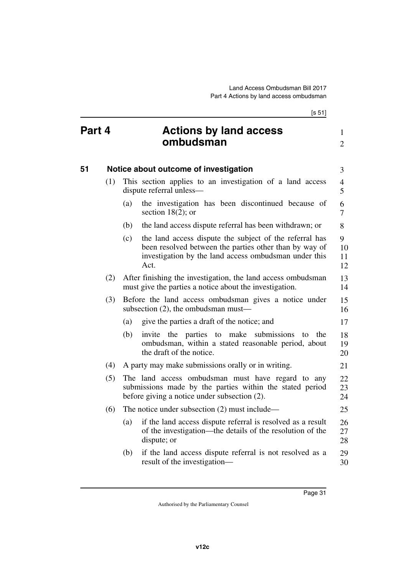<span id="page-32-3"></span><span id="page-32-2"></span><span id="page-32-1"></span><span id="page-32-0"></span>

|        |     |     | [s 51]                                                                                                                                                                             |                     |
|--------|-----|-----|------------------------------------------------------------------------------------------------------------------------------------------------------------------------------------|---------------------|
| Part 4 |     |     | <b>Actions by land access</b><br>ombudsman                                                                                                                                         | 1<br>$\overline{2}$ |
| 51     |     |     | Notice about outcome of investigation                                                                                                                                              | 3                   |
|        | (1) |     | This section applies to an investigation of a land access<br>dispute referral unless-                                                                                              | $\overline{4}$<br>5 |
|        |     | (a) | the investigation has been discontinued because of<br>section $18(2)$ ; or                                                                                                         | 6<br>7              |
|        |     | (b) | the land access dispute referral has been withdrawn; or                                                                                                                            | 8                   |
|        |     | (c) | the land access dispute the subject of the referral has<br>been resolved between the parties other than by way of<br>investigation by the land access ombudsman under this<br>Act. | 9<br>10<br>11<br>12 |
|        | (2) |     | After finishing the investigation, the land access ombudsman<br>must give the parties a notice about the investigation.                                                            | 13<br>14            |
|        | (3) |     | Before the land access ombudsman gives a notice under<br>subsection $(2)$ , the ombudsman must—                                                                                    | 15<br>16            |
|        |     | (a) | give the parties a draft of the notice; and                                                                                                                                        | 17                  |
|        |     | (b) | invite the parties to make submissions<br>to<br>the<br>ombudsman, within a stated reasonable period, about<br>the draft of the notice.                                             | 18<br>19<br>20      |
|        | (4) |     | A party may make submissions orally or in writing.                                                                                                                                 | 21                  |
|        | (5) |     | The land access ombudsman must have regard to any<br>submissions made by the parties within the stated period<br>before giving a notice under subsection (2).                      | 22<br>23<br>24      |
|        | (6) |     | The notice under subsection $(2)$ must include—                                                                                                                                    | 25                  |
|        |     | (a) | if the land access dispute referral is resolved as a result<br>of the investigation—the details of the resolution of the<br>dispute; or                                            | 26<br>27<br>28      |
|        |     | (b) | if the land access dispute referral is not resolved as a<br>result of the investigation—                                                                                           | 29<br>30            |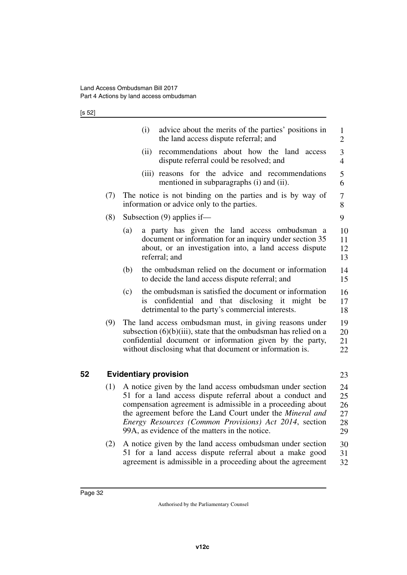[s 52]

|    |     | (i)<br>advice about the merits of the parties' positions in<br>the land access dispute referral; and                                                                                                                                                   | 1<br>2               |
|----|-----|--------------------------------------------------------------------------------------------------------------------------------------------------------------------------------------------------------------------------------------------------------|----------------------|
|    |     | recommendations about how the land access<br>(ii)<br>dispute referral could be resolved; and                                                                                                                                                           | 3<br>$\overline{4}$  |
|    |     | reasons for the advice and recommendations<br>(iii)<br>mentioned in subparagraphs (i) and (ii).                                                                                                                                                        | 5<br>6               |
|    | (7) | The notice is not binding on the parties and is by way of<br>information or advice only to the parties.                                                                                                                                                | 7<br>8               |
|    | (8) | Subsection $(9)$ applies if—                                                                                                                                                                                                                           | 9                    |
|    |     | a party has given the land access ombudsman a<br>(a)<br>document or information for an inquiry under section 35<br>about, or an investigation into, a land access dispute<br>referral; and                                                             | 10<br>11<br>12<br>13 |
|    |     | the ombudsman relied on the document or information<br>(b)<br>to decide the land access dispute referral; and                                                                                                                                          | 14<br>15             |
|    |     | the ombudsman is satisfied the document or information<br>(c)<br>confidential<br>and that disclosing it might<br>be<br>İS.<br>detrimental to the party's commercial interests.                                                                         | 16<br>17<br>18       |
|    | (9) | The land access ombudsman must, in giving reasons under<br>subsection $(6)(b)(iii)$ , state that the ombudsman has relied on a<br>confidential document or information given by the party,<br>without disclosing what that document or information is. | 19<br>20<br>21<br>22 |
| 52 |     | <b>Evidentiary provision</b>                                                                                                                                                                                                                           | 23                   |
|    | (1) | A notice given by the land access ombudsman under section<br>51 for a land access dispute referral about a conduct and<br>compensation agreement is admissible in a proceeding about<br>the agreement before the Land Court under the Mineral and      | 24<br>25<br>26<br>27 |

(2) A notice given by the land access ombudsman under section 51 for a land access dispute referral about a make good agreement is admissible in a proceeding about the agreement 30 31 32

<span id="page-33-1"></span><span id="page-33-0"></span>*Energy Resources (Common Provisions) Act 2014*, section

28 29

99A, as evidence of the matters in the notice.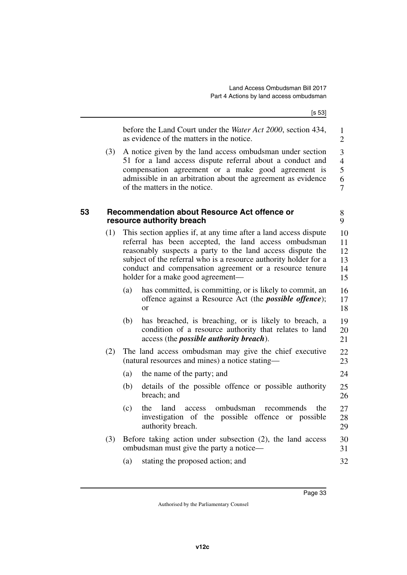<span id="page-34-1"></span><span id="page-34-0"></span>

|    |     |     | [s 53]                                                                                                                                                                                                                                                                                                                                                      |                                                 |
|----|-----|-----|-------------------------------------------------------------------------------------------------------------------------------------------------------------------------------------------------------------------------------------------------------------------------------------------------------------------------------------------------------------|-------------------------------------------------|
|    |     |     | before the Land Court under the Water Act 2000, section 434,<br>as evidence of the matters in the notice.                                                                                                                                                                                                                                                   | 1<br>$\overline{2}$                             |
|    | (3) |     | A notice given by the land access ombudsman under section<br>51 for a land access dispute referral about a conduct and<br>compensation agreement or a make good agreement is<br>admissible in an arbitration about the agreement as evidence<br>of the matters in the notice.                                                                               | 3<br>$\overline{4}$<br>5<br>6<br>$\overline{7}$ |
| 53 |     |     | Recommendation about Resource Act offence or<br>resource authority breach                                                                                                                                                                                                                                                                                   | 8<br>9                                          |
|    | (1) |     | This section applies if, at any time after a land access dispute<br>referral has been accepted, the land access ombudsman<br>reasonably suspects a party to the land access dispute the<br>subject of the referral who is a resource authority holder for a<br>conduct and compensation agreement or a resource tenure<br>holder for a make good agreement- | 10<br>11<br>12<br>13<br>14<br>15                |
|    |     | (a) | has committed, is committing, or is likely to commit, an<br>offence against a Resource Act (the <i>possible offence</i> );<br><sub>or</sub>                                                                                                                                                                                                                 | 16<br>17<br>18                                  |
|    |     | (b) | has breached, is breaching, or is likely to breach, a<br>condition of a resource authority that relates to land<br>access (the <i>possible authority breach</i> ).                                                                                                                                                                                          | 19<br>20<br>21                                  |
|    | (2) |     | The land access ombudsman may give the chief executive<br>(natural resources and mines) a notice stating—                                                                                                                                                                                                                                                   | 22<br>23                                        |
|    |     | (a) | the name of the party; and                                                                                                                                                                                                                                                                                                                                  | 24                                              |
|    |     | (b) | details of the possible offence or possible authority<br>breach; and                                                                                                                                                                                                                                                                                        | 25<br>26                                        |
|    |     | (c) | ombudsman<br>land<br>the<br>the<br>access<br>recommends<br>investigation of the possible offence<br>or possible<br>authority breach.                                                                                                                                                                                                                        | 27<br>28<br>29                                  |
|    | (3) |     | Before taking action under subsection $(2)$ , the land access<br>ombudsman must give the party a notice—                                                                                                                                                                                                                                                    | 30<br>31                                        |
|    |     | (a) | stating the proposed action; and                                                                                                                                                                                                                                                                                                                            | 32                                              |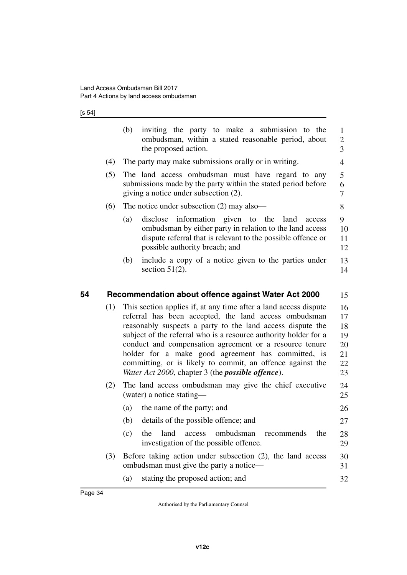### [s 54]

<span id="page-35-1"></span><span id="page-35-0"></span>

|     | (b)<br>inviting the party to make a submission to the<br>ombudsman, within a stated reasonable period, about<br>the proposed action.                                                                                                                                                                                                                                                                                                                                                                    | $\mathbf{1}$<br>$\overline{2}$<br>$\overline{3}$ |
|-----|---------------------------------------------------------------------------------------------------------------------------------------------------------------------------------------------------------------------------------------------------------------------------------------------------------------------------------------------------------------------------------------------------------------------------------------------------------------------------------------------------------|--------------------------------------------------|
| (4) | The party may make submissions orally or in writing.                                                                                                                                                                                                                                                                                                                                                                                                                                                    | $\overline{4}$                                   |
| (5) | The land access ombudsman must have regard to any<br>submissions made by the party within the stated period before<br>giving a notice under subsection (2).                                                                                                                                                                                                                                                                                                                                             | 5<br>6<br>7                                      |
| (6) | The notice under subsection $(2)$ may also—                                                                                                                                                                                                                                                                                                                                                                                                                                                             | 8                                                |
|     | (a)<br>disclose<br>information given to the<br>land<br>access<br>ombudsman by either party in relation to the land access<br>dispute referral that is relevant to the possible offence or<br>possible authority breach; and                                                                                                                                                                                                                                                                             | 9<br>10<br>11<br>12                              |
|     | include a copy of a notice given to the parties under<br>(b)<br>section $51(2)$ .                                                                                                                                                                                                                                                                                                                                                                                                                       | 13<br>14                                         |
|     |                                                                                                                                                                                                                                                                                                                                                                                                                                                                                                         |                                                  |
|     | Recommendation about offence against Water Act 2000                                                                                                                                                                                                                                                                                                                                                                                                                                                     | 15                                               |
| (1) | This section applies if, at any time after a land access dispute<br>referral has been accepted, the land access ombudsman<br>reasonably suspects a party to the land access dispute the<br>subject of the referral who is a resource authority holder for a<br>conduct and compensation agreement or a resource tenure<br>holder for a make good agreement has committed, is<br>committing, or is likely to commit, an offence against the<br>Water Act 2000, chapter 3 (the <i>possible offence</i> ). | 16<br>17<br>18<br>19<br>20<br>21<br>22<br>23     |
| (2) | The land access ombudsman may give the chief executive<br>(water) a notice stating—                                                                                                                                                                                                                                                                                                                                                                                                                     | 24<br>25                                         |
|     | the name of the party; and<br>(a)                                                                                                                                                                                                                                                                                                                                                                                                                                                                       | 26                                               |
|     | details of the possible offence; and<br>(b)                                                                                                                                                                                                                                                                                                                                                                                                                                                             | 27                                               |
|     | (c)<br>land<br>ombudsman<br>the<br>access<br>recommends<br>the<br>investigation of the possible offence.                                                                                                                                                                                                                                                                                                                                                                                                | 28<br>29                                         |
| (3) | Before taking action under subsection (2), the land access<br>ombudsman must give the party a notice—                                                                                                                                                                                                                                                                                                                                                                                                   | 30<br>31                                         |
|     | stating the proposed action; and<br>(a)                                                                                                                                                                                                                                                                                                                                                                                                                                                                 | 32                                               |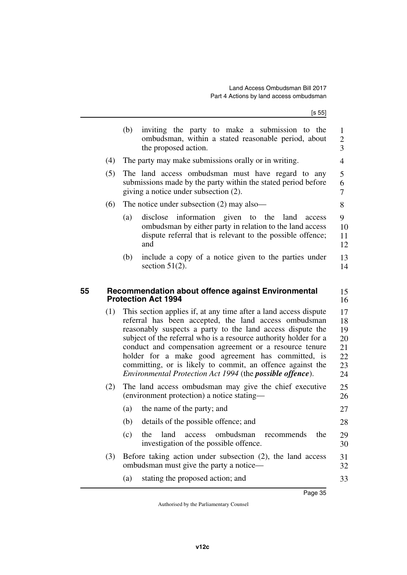$[s 55]$ 

<span id="page-36-1"></span><span id="page-36-0"></span>

|            | (b)<br>inviting the party to make a submission to the<br>ombudsman, within a stated reasonable period, about<br>the proposed action.                                                                                                                                                                                                                                                                                      |
|------------|---------------------------------------------------------------------------------------------------------------------------------------------------------------------------------------------------------------------------------------------------------------------------------------------------------------------------------------------------------------------------------------------------------------------------|
| (4)        | The party may make submissions orally or in writing.                                                                                                                                                                                                                                                                                                                                                                      |
| (5)        | The land access ombudsman must have regard to any<br>submissions made by the party within the stated period before<br>giving a notice under subsection (2).                                                                                                                                                                                                                                                               |
| (6)        | The notice under subsection $(2)$ may also—                                                                                                                                                                                                                                                                                                                                                                               |
|            | (a)<br>disclose information given to the<br>land<br>access<br>ombudsman by either party in relation to the land access<br>dispute referral that is relevant to the possible offence;<br>and                                                                                                                                                                                                                               |
|            | include a copy of a notice given to the parties under<br>(b)<br>section $51(2)$ .                                                                                                                                                                                                                                                                                                                                         |
|            | referral has been accepted, the land access ombudsman<br>reasonably suspects a party to the land access dispute the                                                                                                                                                                                                                                                                                                       |
|            |                                                                                                                                                                                                                                                                                                                                                                                                                           |
|            | Environmental Protection Act 1994 (the possible offence).<br>(environment protection) a notice stating-                                                                                                                                                                                                                                                                                                                   |
|            | (a)<br>the name of the party; and                                                                                                                                                                                                                                                                                                                                                                                         |
|            | (b)<br>details of the possible offence; and                                                                                                                                                                                                                                                                                                                                                                               |
|            | ombudsman<br>(c)<br>the<br>land<br>access<br>recommends<br>investigation of the possible offence.                                                                                                                                                                                                                                                                                                                         |
| (2)<br>(3) | subject of the referral who is a resource authority holder for a<br>conduct and compensation agreement or a resource tenure<br>holder for a make good agreement has committed, is<br>committing, or is likely to commit, an offence against the<br>The land access ombudsman may give the chief executive<br>the<br>Before taking action under subsection (2), the land access<br>ombudsman must give the party a notice— |
|            | stating the proposed action; and<br>(a)                                                                                                                                                                                                                                                                                                                                                                                   |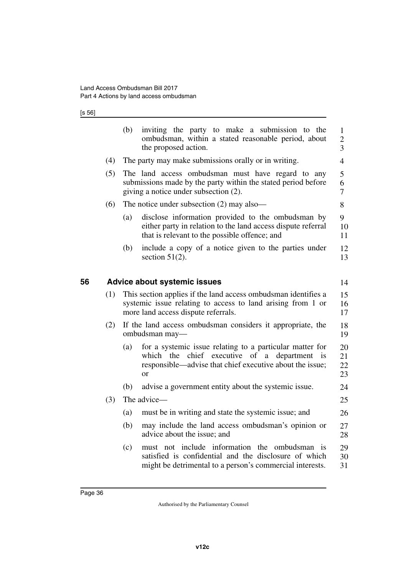### [s 56]

<span id="page-37-1"></span><span id="page-37-0"></span>

|    |     | (b)<br>inviting the party to make a submission to the<br>ombudsman, within a stated reasonable period, about<br>the proposed action.                                                           | $\mathbf{1}$<br>$\mathbf{2}$<br>$\overline{3}$ |
|----|-----|------------------------------------------------------------------------------------------------------------------------------------------------------------------------------------------------|------------------------------------------------|
|    | (4) | The party may make submissions orally or in writing.                                                                                                                                           | $\overline{4}$                                 |
|    | (5) | The land access ombudsman must have regard to any<br>submissions made by the party within the stated period before<br>giving a notice under subsection (2).                                    | 5<br>6<br>$\overline{7}$                       |
|    | (6) | The notice under subsection $(2)$ may also—                                                                                                                                                    | 8                                              |
|    |     | (a)<br>disclose information provided to the ombudsman by<br>either party in relation to the land access dispute referral<br>that is relevant to the possible offence; and                      | 9<br>10<br>11                                  |
|    |     | include a copy of a notice given to the parties under<br>(b)<br>section $51(2)$ .                                                                                                              | 12<br>13                                       |
| 56 |     | <b>Advice about systemic issues</b>                                                                                                                                                            | 14                                             |
|    | (1) | This section applies if the land access ombuds man identifies a<br>systemic issue relating to access to land arising from 1 or<br>more land access dispute referrals.                          | 15<br>16<br>17                                 |
|    | (2) | If the land access ombudsman considers it appropriate, the<br>ombudsman may-                                                                                                                   | 18<br>19                                       |
|    |     | for a systemic issue relating to a particular matter for<br>(a)<br>chief executive of a<br>which the<br>department is<br>responsible—advise that chief executive about the issue;<br><b>or</b> | 20<br>21<br>22<br>23                           |
|    |     | advise a government entity about the systemic issue.<br>(b)                                                                                                                                    | 24                                             |
|    | (3) | The advice-                                                                                                                                                                                    | 25                                             |
|    |     | must be in writing and state the systemic issue; and<br>(a)                                                                                                                                    | 26                                             |
|    |     | (b)<br>may include the land access ombudsman's opinion or<br>advice about the issue; and                                                                                                       | 27<br>28                                       |
|    |     | must not include information the ombudsman is<br>(c)<br>satisfied is confidential and the disclosure of which<br>might be detrimental to a person's commercial interests.                      | 29<br>30<br>31                                 |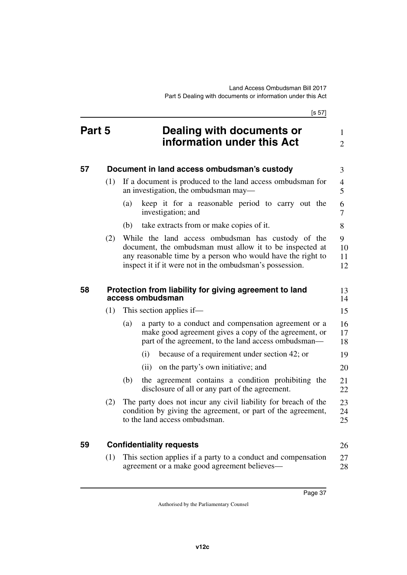<span id="page-38-5"></span><span id="page-38-4"></span><span id="page-38-3"></span><span id="page-38-2"></span><span id="page-38-1"></span><span id="page-38-0"></span>[s 57] **Part 5 Dealing with documents or information under this Act 57 Document in land access ombudsman's custody** (1) If a document is produced to the land access ombudsman for an investigation, the ombudsman may— (a) keep it for a reasonable period to carry out the investigation; and (b) take extracts from or make copies of it. (2) While the land access ombudsman has custody of the document, the ombudsman must allow it to be inspected at any reasonable time by a person who would have the right to inspect it if it were not in the ombudsman's possession. **58 Protection from liability for giving agreement to land access ombudsman** (1) This section applies if— (a) a party to a conduct and compensation agreement or a make good agreement gives a copy of the agreement, or part of the agreement, to the land access ombudsman— (i) because of a requirement under section 42; or (ii) on the party's own initiative; and (b) the agreement contains a condition prohibiting the disclosure of all or any part of the agreement. (2) The party does not incur any civil liability for breach of the condition by giving the agreement, or part of the agreement, to the land access ombudsman. **59 Confidentiality requests** (1) This section applies if a party to a conduct and compensation 1  $\mathfrak{D}$ 3 4 5 6 7 8 9 10 11 12 13 14 15 16 17 18 19 20 21 22 23 24 25 26 27

<span id="page-38-7"></span><span id="page-38-6"></span>agreement or a make good agreement believes— 28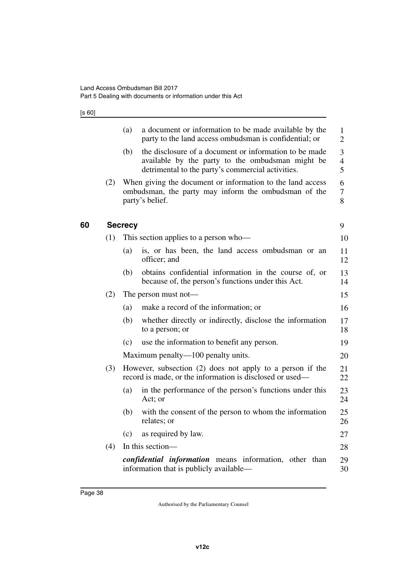[s 60]

<span id="page-39-1"></span><span id="page-39-0"></span>**60 Secrecy**

|     | (a)            | a document or information to be made available by the<br>party to the land access ombudsman is confidential; or                                                 | 1<br>$\mathbf{2}$        |
|-----|----------------|-----------------------------------------------------------------------------------------------------------------------------------------------------------------|--------------------------|
|     | (b)            | the disclosure of a document or information to be made<br>available by the party to the ombudsman might be<br>detrimental to the party's commercial activities. | 3<br>$\overline{4}$<br>5 |
| (2) |                | When giving the document or information to the land access<br>ombudsman, the party may inform the ombudsman of the<br>party's belief.                           | 6<br>$\tau$<br>8         |
|     | <b>Secrecy</b> |                                                                                                                                                                 | 9                        |
| (1) |                | This section applies to a person who-                                                                                                                           | 10                       |
|     | (a)            | is, or has been, the land access ombudsman or an<br>officer; and                                                                                                | 11<br>12                 |
|     | (b)            | obtains confidential information in the course of, or<br>because of, the person's functions under this Act.                                                     | 13<br>14                 |
| (2) |                | The person must not—                                                                                                                                            | 15                       |
|     | (a)            | make a record of the information; or                                                                                                                            | 16                       |
|     | (b)            | whether directly or indirectly, disclose the information<br>to a person; or                                                                                     | 17<br>18                 |
|     | (c)            | use the information to benefit any person.                                                                                                                      | 19                       |
|     |                | Maximum penalty—100 penalty units.                                                                                                                              | 20                       |
| (3) |                | However, subsection (2) does not apply to a person if the<br>record is made, or the information is disclosed or used—                                           | 21<br>22                 |
|     | (a)            | in the performance of the person's functions under this<br>Act; or                                                                                              | 23<br>24                 |
|     | (b)            | with the consent of the person to whom the information<br>relates; or                                                                                           | 25<br>26                 |
|     | (c)            | as required by law.                                                                                                                                             | 27                       |
| (4) |                | In this section-                                                                                                                                                | 28                       |
|     |                | confidential information means information, other than<br>information that is publicly available—                                                               | 29<br>30                 |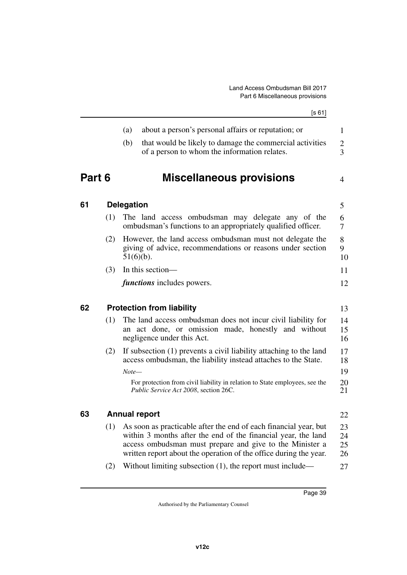<span id="page-40-7"></span><span id="page-40-6"></span><span id="page-40-5"></span><span id="page-40-4"></span><span id="page-40-3"></span><span id="page-40-2"></span><span id="page-40-1"></span><span id="page-40-0"></span>

|        |     |                   | [s 61]                                                                                                                                                                                                                                                             |                                  |
|--------|-----|-------------------|--------------------------------------------------------------------------------------------------------------------------------------------------------------------------------------------------------------------------------------------------------------------|----------------------------------|
|        |     | (a)               | about a person's personal affairs or reputation; or                                                                                                                                                                                                                | $\mathbf{1}$                     |
|        |     | (b)               | that would be likely to damage the commercial activities<br>of a person to whom the information relates.                                                                                                                                                           | $\overline{c}$<br>$\overline{3}$ |
| Part 6 |     |                   | <b>Miscellaneous provisions</b>                                                                                                                                                                                                                                    | 4                                |
| 61     |     | <b>Delegation</b> |                                                                                                                                                                                                                                                                    | 5                                |
|        | (1) |                   | The land access ombudsman may delegate any of the<br>ombudsman's functions to an appropriately qualified officer.                                                                                                                                                  | 6<br>7                           |
|        | (2) |                   | However, the land access ombudsman must not delegate the<br>giving of advice, recommendations or reasons under section<br>$51(6)(b)$ .                                                                                                                             | 8<br>9<br>10                     |
|        | (3) |                   | In this section-                                                                                                                                                                                                                                                   | 11                               |
|        |     |                   | <i>functions</i> includes powers.                                                                                                                                                                                                                                  | 12                               |
| 62     |     |                   | <b>Protection from liability</b>                                                                                                                                                                                                                                   | 13                               |
|        | (1) |                   | The land access ombudsman does not incur civil liability for<br>an act done, or omission made, honestly and without<br>negligence under this Act.                                                                                                                  | 14<br>15<br>16                   |
|        | (2) |                   | If subsection (1) prevents a civil liability attaching to the land<br>access ombudsman, the liability instead attaches to the State.                                                                                                                               | 17<br>18                         |
|        |     | $Note-$           |                                                                                                                                                                                                                                                                    | 19                               |
|        |     |                   | For protection from civil liability in relation to State employees, see the<br>Public Service Act 2008, section 26C.                                                                                                                                               | 20<br>21                         |
| 63     |     |                   | Annual report                                                                                                                                                                                                                                                      | 22                               |
|        | (1) |                   | As soon as practicable after the end of each financial year, but<br>within 3 months after the end of the financial year, the land<br>access ombudsman must prepare and give to the Minister a<br>written report about the operation of the office during the year. | 23<br>24<br>25<br>26             |
|        | (2) |                   | Without limiting subsection $(1)$ , the report must include—                                                                                                                                                                                                       | 27                               |
|        |     |                   |                                                                                                                                                                                                                                                                    |                                  |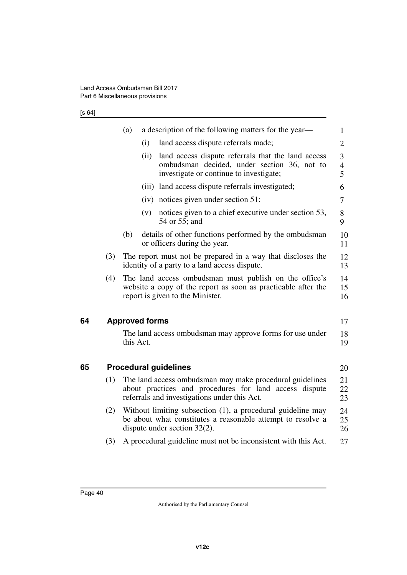$[$ s 64]

<span id="page-41-3"></span><span id="page-41-2"></span><span id="page-41-1"></span><span id="page-41-0"></span>

|    |     | (a)<br>a description of the following matters for the year—                                                                                                        | 1                        |
|----|-----|--------------------------------------------------------------------------------------------------------------------------------------------------------------------|--------------------------|
|    |     | land access dispute referrals made;<br>(i)                                                                                                                         | $\overline{2}$           |
|    |     | land access dispute referrals that the land access<br>(ii)<br>ombudsman decided, under section 36, not to<br>investigate or continue to investigate;               | 3<br>$\overline{4}$<br>5 |
|    |     | (iii) land access dispute referrals investigated;                                                                                                                  | 6                        |
|    |     | $(iv)$ notices given under section 51;                                                                                                                             | 7                        |
|    |     | notices given to a chief executive under section 53,<br>(v)<br>54 or 55; and                                                                                       | 8<br>9                   |
|    |     | (b)<br>details of other functions performed by the ombudsman<br>or officers during the year.                                                                       | 10<br>11                 |
|    | (3) | The report must not be prepared in a way that discloses the<br>identity of a party to a land access dispute.                                                       | 12<br>13                 |
|    | (4) | The land access ombudsman must publish on the office's<br>website a copy of the report as soon as practicable after the<br>report is given to the Minister.        | 14<br>15<br>16           |
| 64 |     | <b>Approved forms</b>                                                                                                                                              | 17                       |
|    |     | The land access ombudsman may approve forms for use under<br>this Act.                                                                                             | 18<br>19                 |
| 65 |     | <b>Procedural guidelines</b>                                                                                                                                       | 20                       |
|    | (1) | The land access ombudsman may make procedural guidelines<br>about practices and procedures for land access dispute<br>referrals and investigations under this Act. | 21<br>22<br>23           |
|    | (2) | Without limiting subsection (1), a procedural guideline may<br>be about what constitutes a reasonable attempt to resolve a<br>dispute under section $32(2)$ .      | 24<br>25<br>26           |
|    | (3) | A procedural guideline must not be inconsistent with this Act.                                                                                                     | 27                       |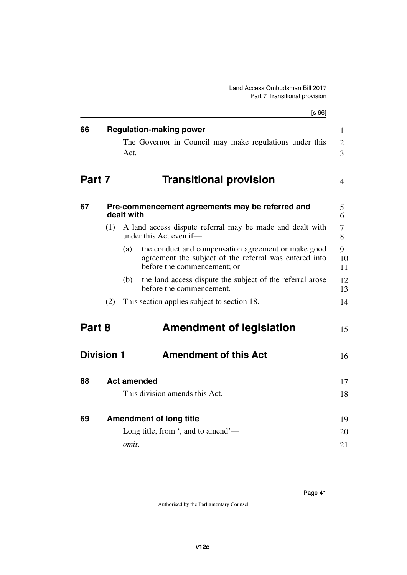<span id="page-42-13"></span><span id="page-42-12"></span><span id="page-42-11"></span><span id="page-42-10"></span><span id="page-42-9"></span><span id="page-42-8"></span><span id="page-42-7"></span><span id="page-42-6"></span><span id="page-42-5"></span><span id="page-42-4"></span><span id="page-42-3"></span><span id="page-42-2"></span><span id="page-42-1"></span><span id="page-42-0"></span>

|                   |     | [s 66]                                                                                                                                              |
|-------------------|-----|-----------------------------------------------------------------------------------------------------------------------------------------------------|
| 66                |     | <b>Regulation-making power</b>                                                                                                                      |
|                   |     | The Governor in Council may make regulations under this<br>Act.                                                                                     |
| Part 7            |     | <b>Transitional provision</b>                                                                                                                       |
| 67                |     | Pre-commencement agreements may be referred and<br>dealt with                                                                                       |
|                   | (1) | A land access dispute referral may be made and dealt with<br>under this Act even if—                                                                |
|                   |     | the conduct and compensation agreement or make good<br>(a)<br>agreement the subject of the referral was entered into<br>before the commencement; or |
|                   |     | (b)<br>the land access dispute the subject of the referral arose<br>before the commencement.                                                        |
|                   | (2) | This section applies subject to section 18.                                                                                                         |
| Part 8            |     | <b>Amendment of legislation</b>                                                                                                                     |
| <b>Division 1</b> |     | <b>Amendment of this Act</b>                                                                                                                        |
| 68                |     | <b>Act amended</b>                                                                                                                                  |
|                   |     | This division amends this Act.                                                                                                                      |
| 69                |     | <b>Amendment of long title</b>                                                                                                                      |
|                   |     | Long title, from ', and to amend'—<br>omit.                                                                                                         |
|                   |     |                                                                                                                                                     |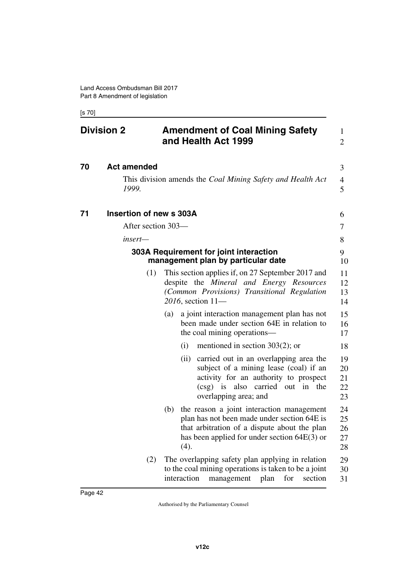<span id="page-43-1"></span>[s 70]

<span id="page-43-7"></span><span id="page-43-6"></span><span id="page-43-5"></span><span id="page-43-4"></span><span id="page-43-3"></span><span id="page-43-2"></span><span id="page-43-0"></span>

| <b>Division 2</b> |                             | <b>Amendment of Coal Mining Safety</b><br>and Health Act 1999                                                                                                                                             | 1<br>$\overline{2}$        |  |
|-------------------|-----------------------------|-----------------------------------------------------------------------------------------------------------------------------------------------------------------------------------------------------------|----------------------------|--|
| 70                | <b>Act amended</b><br>1999. | This division amends the <i>Coal Mining Safety and Health Act</i>                                                                                                                                         |                            |  |
| 71                | Insertion of new s 303A     |                                                                                                                                                                                                           | 6                          |  |
|                   | After section 303—          |                                                                                                                                                                                                           | 7                          |  |
|                   | insert—                     |                                                                                                                                                                                                           | 8                          |  |
|                   |                             | 303A Requirement for joint interaction<br>management plan by particular date                                                                                                                              | 9<br>10                    |  |
|                   | (1)                         | This section applies if, on 27 September 2017 and<br>despite the Mineral and Energy Resources<br>(Common Provisions) Transitional Regulation<br>$2016$ , section $11$ —                                   | 11<br>12<br>13<br>14       |  |
|                   |                             | a joint interaction management plan has not<br>(a)<br>been made under section 64E in relation to<br>the coal mining operations—                                                                           | 15<br>16<br>17             |  |
|                   |                             | mentioned in section $303(2)$ ; or<br>(i)                                                                                                                                                                 | 18                         |  |
|                   |                             | carried out in an overlapping area the<br>(ii)<br>subject of a mining lease (coal) if an<br>activity for an authority to prospect<br>(csg) is also carried out in the<br>overlapping area; and            | 19<br>20<br>21<br>22<br>23 |  |
|                   |                             | the reason a joint interaction management<br>(b)<br>plan has not been made under section 64E is<br>that arbitration of a dispute about the plan<br>has been applied for under section $64E(3)$ or<br>(4). | 24<br>25<br>26<br>27<br>28 |  |
|                   | (2)                         | The overlapping safety plan applying in relation<br>to the coal mining operations is taken to be a joint<br>interaction<br>for<br>section<br>management<br>plan                                           | 29<br>30<br>31             |  |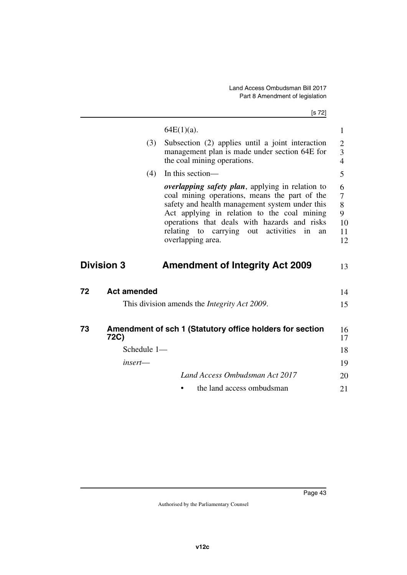[s 72]

|    |                    | $64E(1)(a)$ .                                                                                                                                                                                                                                                                                                                            | 1                                   |
|----|--------------------|------------------------------------------------------------------------------------------------------------------------------------------------------------------------------------------------------------------------------------------------------------------------------------------------------------------------------------------|-------------------------------------|
|    | (3)                | Subsection (2) applies until a joint interaction<br>management plan is made under section 64E for<br>the coal mining operations.                                                                                                                                                                                                         | $\mathbf{2}$<br>3<br>$\overline{4}$ |
|    | (4)                | In this section-                                                                                                                                                                                                                                                                                                                         | 5                                   |
|    |                    | <i>overlapping safety plan</i> , applying in relation to<br>coal mining operations, means the part of the<br>safety and health management system under this<br>Act applying in relation to the coal mining<br>operations that deals with hazards and risks<br>relating to<br>out activities<br>carrying<br>in<br>an<br>overlapping area. | 6<br>7<br>8<br>9<br>10<br>11<br>12  |
|    | <b>Division 3</b>  | <b>Amendment of Integrity Act 2009</b>                                                                                                                                                                                                                                                                                                   | 13                                  |
| 72 | <b>Act amended</b> |                                                                                                                                                                                                                                                                                                                                          | 14                                  |
|    |                    | This division amends the <i>Integrity Act 2009</i> .                                                                                                                                                                                                                                                                                     | 15                                  |
| 73 | 72C)               | Amendment of sch 1 (Statutory office holders for section                                                                                                                                                                                                                                                                                 | 16<br>17                            |
|    | Schedule 1-        |                                                                                                                                                                                                                                                                                                                                          | 18                                  |
|    | insert—            |                                                                                                                                                                                                                                                                                                                                          | 19                                  |
|    |                    | Land Access Ombudsman Act 2017                                                                                                                                                                                                                                                                                                           | 20                                  |
|    |                    | the land access ombudsman                                                                                                                                                                                                                                                                                                                | 21                                  |
|    |                    |                                                                                                                                                                                                                                                                                                                                          |                                     |

<span id="page-44-5"></span><span id="page-44-4"></span><span id="page-44-3"></span><span id="page-44-2"></span><span id="page-44-1"></span><span id="page-44-0"></span>**72**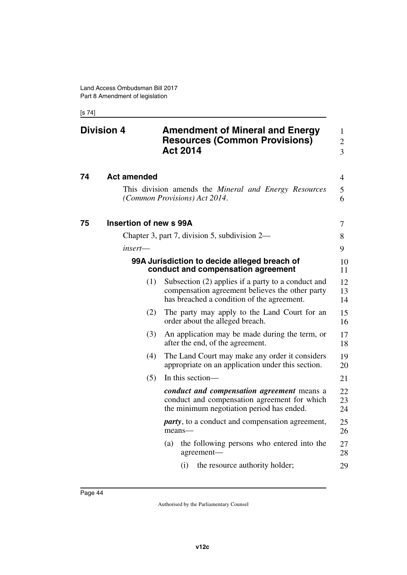<span id="page-45-1"></span>[s 74]

<span id="page-45-7"></span><span id="page-45-6"></span><span id="page-45-5"></span><span id="page-45-4"></span><span id="page-45-3"></span><span id="page-45-2"></span><span id="page-45-0"></span>

| <b>Division 4</b> |                        | <b>Amendment of Mineral and Energy</b><br><b>Resources (Common Provisions)</b><br><b>Act 2014</b>                                                   | 1<br>$\overline{2}$<br>3 |
|-------------------|------------------------|-----------------------------------------------------------------------------------------------------------------------------------------------------|--------------------------|
| 74                | <b>Act amended</b>     |                                                                                                                                                     | 4                        |
|                   |                        | This division amends the <i>Mineral and Energy Resources</i><br>(Common Provisions) Act 2014.                                                       | 5<br>6                   |
| 75                | Insertion of new s 99A |                                                                                                                                                     | 7                        |
|                   |                        | Chapter 3, part 7, division 5, subdivision 2—                                                                                                       | 8                        |
|                   | insert—                |                                                                                                                                                     | 9                        |
|                   |                        | 99A Jurisdiction to decide alleged breach of<br>conduct and compensation agreement                                                                  | 10<br>11                 |
|                   | (1)                    | Subsection (2) applies if a party to a conduct and<br>compensation agreement believes the other party<br>has breached a condition of the agreement. | 12<br>13<br>14           |
|                   | (2)                    | The party may apply to the Land Court for an<br>order about the alleged breach.                                                                     | 15<br>16                 |
|                   | (3)                    | An application may be made during the term, or<br>after the end, of the agreement.                                                                  | 17<br>18                 |
|                   | (4)                    | The Land Court may make any order it considers<br>appropriate on an application under this section.                                                 | 19<br>20                 |
|                   | (5)                    | In this section-                                                                                                                                    | 21                       |
|                   |                        | conduct and compensation agreement means a<br>conduct and compensation agreement for which<br>the minimum negotiation period has ended.             | 22<br>23<br>24           |
|                   |                        | <i>party</i> , to a conduct and compensation agreement,<br>means-                                                                                   | 25<br>26                 |
|                   |                        | the following persons who entered into the<br>(a)<br>agreement-                                                                                     | 27<br>28                 |
|                   |                        | the resource authority holder;<br>(i)                                                                                                               | 29                       |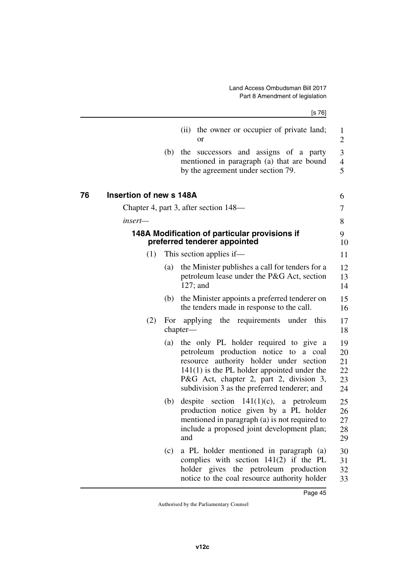<span id="page-46-3"></span><span id="page-46-2"></span><span id="page-46-1"></span><span id="page-46-0"></span>

|    |                                |     | [s 76]                                                                                                                                                                                                                                                                   |                                  |
|----|--------------------------------|-----|--------------------------------------------------------------------------------------------------------------------------------------------------------------------------------------------------------------------------------------------------------------------------|----------------------------------|
|    |                                |     | the owner or occupier of private land;<br>(ii)<br><b>or</b>                                                                                                                                                                                                              | $\mathbf{1}$<br>2                |
|    |                                | (b) | the successors and assigns of a party<br>mentioned in paragraph (a) that are bound<br>by the agreement under section 79.                                                                                                                                                 | 3<br>$\overline{4}$<br>5         |
| 76 | <b>Insertion of new s 148A</b> |     |                                                                                                                                                                                                                                                                          | 6                                |
|    |                                |     | Chapter 4, part 3, after section 148—                                                                                                                                                                                                                                    | 7                                |
|    | insert—                        |     |                                                                                                                                                                                                                                                                          | 8                                |
|    |                                |     | 148A Modification of particular provisions if<br>preferred tenderer appointed                                                                                                                                                                                            | 9<br>10                          |
|    | (1)                            |     | This section applies if—                                                                                                                                                                                                                                                 | 11                               |
|    |                                | (a) | the Minister publishes a call for tenders for a<br>petroleum lease under the P&G Act, section<br>$127$ ; and                                                                                                                                                             | 12<br>13<br>14                   |
|    |                                | (b) | the Minister appoints a preferred tenderer on<br>the tenders made in response to the call.                                                                                                                                                                               | 15<br>16                         |
|    | (2)                            | For | applying the requirements under this<br>chapter-                                                                                                                                                                                                                         | 17<br>18                         |
|    |                                | (a) | the only PL holder required to give a<br>petroleum production notice to<br>a coal<br>resource authority holder under section<br>$141(1)$ is the PL holder appointed under the<br>P&G Act, chapter 2, part 2, division 3,<br>subdivision 3 as the preferred tenderer; and | 19<br>20<br>21<br>22<br>23<br>24 |
|    |                                | (b) | despite section $141(1)(c)$ , a petroleum<br>production notice given by a PL holder<br>mentioned in paragraph (a) is not required to<br>include a proposed joint development plan;<br>and                                                                                | 25<br>26<br>27<br>28<br>29       |
|    |                                | (c) | a PL holder mentioned in paragraph (a)<br>complies with section $141(2)$ if the PL<br>holder gives the petroleum production<br>notice to the coal resource authority holder                                                                                              | 30<br>31<br>32<br>33             |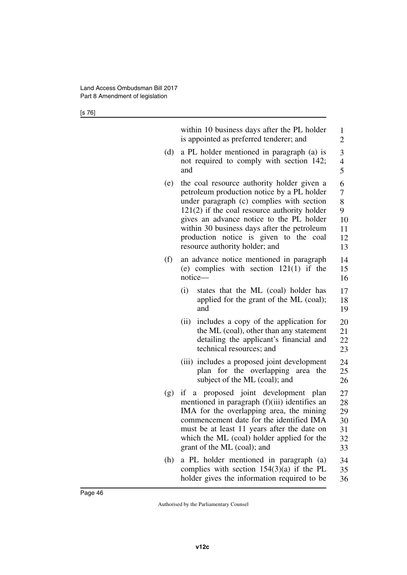[s 76]

|     | within 10 business days after the PL holder<br>is appointed as preferred tenderer; and                                                                                                                                                                                                                                                                         | 1<br>$\overline{2}$                      |
|-----|----------------------------------------------------------------------------------------------------------------------------------------------------------------------------------------------------------------------------------------------------------------------------------------------------------------------------------------------------------------|------------------------------------------|
| (d) | a PL holder mentioned in paragraph (a) is<br>not required to comply with section 142;<br>and                                                                                                                                                                                                                                                                   | 3<br>$\overline{4}$<br>5                 |
| (e) | the coal resource authority holder given a<br>petroleum production notice by a PL holder<br>under paragraph (c) complies with section<br>$121(2)$ if the coal resource authority holder<br>gives an advance notice to the PL holder<br>within 30 business days after the petroleum<br>production notice is given to the coal<br>resource authority holder; and | 6<br>7<br>8<br>9<br>10<br>11<br>12<br>13 |
| (f) | an advance notice mentioned in paragraph<br>(e) complies with section $121(1)$ if the<br>notice-                                                                                                                                                                                                                                                               | 14<br>15<br>16                           |
|     | (i)<br>states that the ML (coal) holder has<br>applied for the grant of the ML (coal);<br>and                                                                                                                                                                                                                                                                  | 17<br>18<br>19                           |
|     | includes a copy of the application for<br>(ii)<br>the ML (coal), other than any statement<br>detailing the applicant's financial and<br>technical resources; and                                                                                                                                                                                               | 20<br>21<br>22<br>23                     |
|     | (iii) includes a proposed joint development<br>plan for the overlapping area the<br>subject of the ML (coal); and                                                                                                                                                                                                                                              | 24<br>25<br>26                           |
| (g) | if a proposed joint development plan<br>mentioned in paragraph (f)(iii) identifies an<br>IMA for the overlapping area, the mining<br>commencement date for the identified IMA<br>must be at least 11 years after the date on<br>which the ML (coal) holder applied for the<br>grant of the ML (coal); and                                                      | 27<br>28<br>29<br>30<br>31<br>32<br>33   |
| (h) | a PL holder mentioned in paragraph (a)<br>complies with section $154(3)(a)$ if the PL<br>holder gives the information required to be                                                                                                                                                                                                                           | 34<br>35<br>36                           |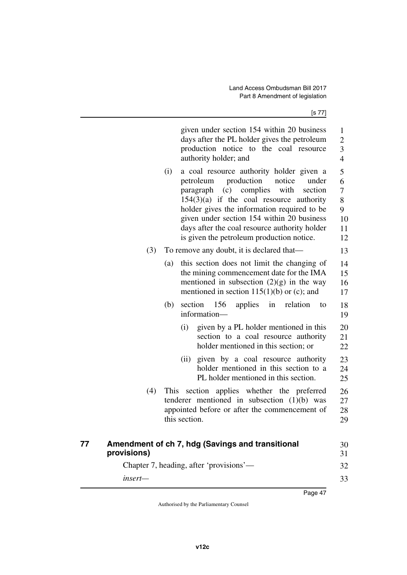<span id="page-48-1"></span><span id="page-48-0"></span>

|    |             | given under section 154 within 20 business<br>days after the PL holder gives the petroleum<br>production notice to the coal resource<br>authority holder; and                                                                                                                                                                                                                             | $\mathbf{1}$<br>$\overline{c}$<br>3<br>$\overline{4}$ |
|----|-------------|-------------------------------------------------------------------------------------------------------------------------------------------------------------------------------------------------------------------------------------------------------------------------------------------------------------------------------------------------------------------------------------------|-------------------------------------------------------|
|    |             | a coal resource authority holder given a<br>(i)<br>production<br>notice<br>petroleum<br>under<br>complies<br>with<br>paragraph<br>(c)<br>section<br>$154(3)(a)$ if the coal resource authority<br>holder gives the information required to be<br>given under section 154 within 20 business<br>days after the coal resource authority holder<br>is given the petroleum production notice. | 5<br>6<br>$\overline{7}$<br>8<br>9<br>10<br>11<br>12  |
|    | (3)         | To remove any doubt, it is declared that—                                                                                                                                                                                                                                                                                                                                                 | 13                                                    |
|    |             | this section does not limit the changing of<br>(a)<br>the mining commencement date for the IMA<br>mentioned in subsection $(2)(g)$ in the way<br>mentioned in section $115(1)(b)$ or (c); and                                                                                                                                                                                             | 14<br>15<br>16<br>17                                  |
|    |             | 156<br>applies<br>section<br>in<br>relation<br>(b)<br>to<br>information-                                                                                                                                                                                                                                                                                                                  | 18<br>19                                              |
|    |             | given by a PL holder mentioned in this<br>(i)<br>section to a coal resource authority<br>holder mentioned in this section; or                                                                                                                                                                                                                                                             | 20<br>21<br>22                                        |
|    |             | given by a coal resource authority<br>(ii)<br>holder mentioned in this section to a<br>PL holder mentioned in this section.                                                                                                                                                                                                                                                               | 23<br>24<br>25                                        |
|    | (4)         | This section applies whether the preferred<br>tenderer mentioned in subsection $(1)(b)$ was<br>appointed before or after the commencement of<br>this section.                                                                                                                                                                                                                             | 26<br>27<br>28<br>29                                  |
| 77 | provisions) | Amendment of ch 7, hdg (Savings and transitional                                                                                                                                                                                                                                                                                                                                          | 30<br>31                                              |
|    |             | Chapter 7, heading, after 'provisions'—                                                                                                                                                                                                                                                                                                                                                   | 32                                                    |
|    | insert-     |                                                                                                                                                                                                                                                                                                                                                                                           | 33                                                    |
|    |             | Page 47                                                                                                                                                                                                                                                                                                                                                                                   |                                                       |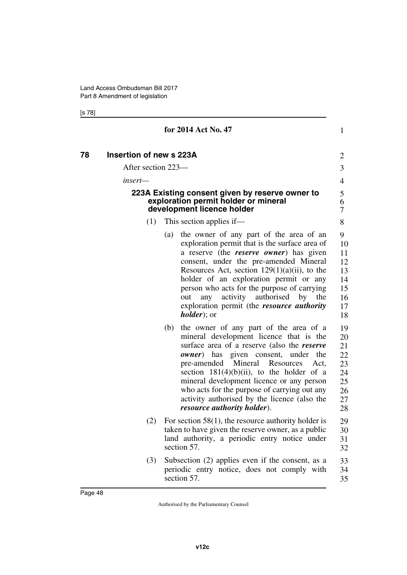[s 78]

<span id="page-49-3"></span><span id="page-49-2"></span><span id="page-49-1"></span><span id="page-49-0"></span>

|    |                                |     | for 2014 Act No. 47                                                                                                                                                                                                                                                                                                                                                                                                                                                     | 1                                                        |  |
|----|--------------------------------|-----|-------------------------------------------------------------------------------------------------------------------------------------------------------------------------------------------------------------------------------------------------------------------------------------------------------------------------------------------------------------------------------------------------------------------------------------------------------------------------|----------------------------------------------------------|--|
| 78 | <b>Insertion of new s 223A</b> |     |                                                                                                                                                                                                                                                                                                                                                                                                                                                                         | $\overline{2}$                                           |  |
|    | After section 223—             |     |                                                                                                                                                                                                                                                                                                                                                                                                                                                                         | 3                                                        |  |
|    | insert—                        |     |                                                                                                                                                                                                                                                                                                                                                                                                                                                                         | 4                                                        |  |
|    |                                |     | 223A Existing consent given by reserve owner to<br>exploration permit holder or mineral<br>development licence holder                                                                                                                                                                                                                                                                                                                                                   | 5<br>6<br>7                                              |  |
|    | (1)                            |     | This section applies if—                                                                                                                                                                                                                                                                                                                                                                                                                                                | 8                                                        |  |
|    |                                | (a) | the owner of any part of the area of an<br>exploration permit that is the surface area of<br>a reserve (the <i>reserve owner</i> ) has given<br>consent, under the pre-amended Mineral<br>Resources Act, section $129(1)(a)(ii)$ , to the<br>holder of an exploration permit or any<br>person who acts for the purpose of carrying<br>activity authorised<br>by<br>out<br>any<br>the<br>exploration permit (the <i>resource authority</i><br><i>holder</i> ); or        | 9<br>10<br>11<br>12<br>13<br>14<br>15<br>16<br>17<br>18  |  |
|    |                                | (b) | the owner of any part of the area of a<br>mineral development licence that is the<br>surface area of a reserve (also the reserve<br><i>owner</i> ) has given consent,<br>under<br>the<br>pre-amended<br>Mineral<br>Resources<br>Act,<br>section $181(4)(b)(ii)$ , to the holder of a<br>mineral development licence or any person<br>who acts for the purpose of carrying out any<br>activity authorised by the licence (also the<br><i>resource authority holder).</i> | 19<br>20<br>21<br>22<br>23<br>24<br>25<br>26<br>27<br>28 |  |
|    | (2)                            |     | For section $58(1)$ , the resource authority holder is<br>taken to have given the reserve owner, as a public<br>land authority, a periodic entry notice under<br>section 57.                                                                                                                                                                                                                                                                                            | 29<br>30<br>31<br>32                                     |  |
|    | (3)                            |     | Subsection (2) applies even if the consent, as a<br>periodic entry notice, does not comply with<br>section 57.                                                                                                                                                                                                                                                                                                                                                          | 33<br>34<br>35                                           |  |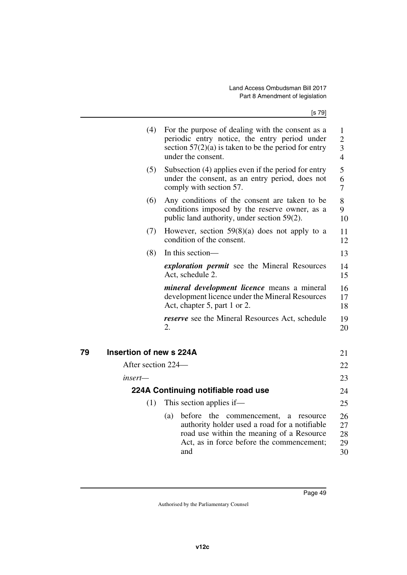<span id="page-50-3"></span><span id="page-50-2"></span><span id="page-50-1"></span><span id="page-50-0"></span>

| (4)                           | For the purpose of dealing with the consent as a<br>periodic entry notice, the entry period under<br>section $57(2)(a)$ is taken to be the period for entry<br>under the consent.                  | 1<br>$\overline{2}$<br>$\overline{3}$<br>$\overline{4}$ |
|-------------------------------|----------------------------------------------------------------------------------------------------------------------------------------------------------------------------------------------------|---------------------------------------------------------|
| (5)                           | Subsection (4) applies even if the period for entry<br>under the consent, as an entry period, does not<br>comply with section 57.                                                                  | 5<br>6<br>7                                             |
| (6)                           | Any conditions of the consent are taken to be<br>conditions imposed by the reserve owner, as a<br>public land authority, under section 59(2).                                                      | 8<br>9<br>10                                            |
| (7)                           | However, section $59(8)(a)$ does not apply to a<br>condition of the consent.                                                                                                                       | 11<br>12                                                |
| (8)                           | In this section—                                                                                                                                                                                   | 13                                                      |
|                               | exploration permit see the Mineral Resources<br>Act, schedule 2.                                                                                                                                   | 14<br>15                                                |
|                               | <i>mineral development licence</i> means a mineral<br>development licence under the Mineral Resources<br>Act, chapter 5, part 1 or 2.                                                              | 16<br>17<br>18                                          |
|                               | <i>reserve</i> see the Mineral Resources Act, schedule<br>2.                                                                                                                                       | 19<br>20                                                |
| Insertion of new s 224A<br>79 |                                                                                                                                                                                                    | 21                                                      |
| After section 224—            |                                                                                                                                                                                                    | 22                                                      |
| insert—                       |                                                                                                                                                                                                    | 23                                                      |
|                               | 224A Continuing notifiable road use                                                                                                                                                                | 24                                                      |
| (1)                           | This section applies if—                                                                                                                                                                           | 25                                                      |
|                               | before the commencement,<br>(a)<br>resource<br>a<br>authority holder used a road for a notifiable<br>road use within the meaning of a Resource<br>Act, as in force before the commencement;<br>and | 26<br>27<br>28<br>29<br>30                              |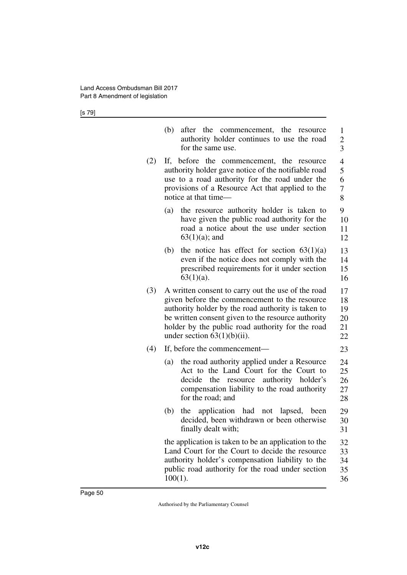[s 79]

|     | (b)<br>after the commencement, the resource<br>authority holder continues to use the road<br>for the same use.                                                                                                                                                                                        | 1<br>$\overline{c}$<br>$\overline{3}$ |
|-----|-------------------------------------------------------------------------------------------------------------------------------------------------------------------------------------------------------------------------------------------------------------------------------------------------------|---------------------------------------|
| (2) | If, before the commencement, the resource<br>authority holder gave notice of the notifiable road<br>use to a road authority for the road under the<br>provisions of a Resource Act that applied to the<br>notice at that time—                                                                        | 4<br>5<br>6<br>$\boldsymbol{7}$<br>8  |
|     | the resource authority holder is taken to<br>(a)<br>have given the public road authority for the<br>road a notice about the use under section<br>$63(1)(a)$ ; and                                                                                                                                     | 9<br>10<br>11<br>12                   |
|     | the notice has effect for section $63(1)(a)$<br>(b)<br>even if the notice does not comply with the<br>prescribed requirements for it under section<br>$63(1)(a)$ .                                                                                                                                    | 13<br>14<br>15<br>16                  |
| (3) | A written consent to carry out the use of the road<br>given before the commencement to the resource<br>authority holder by the road authority is taken to<br>be written consent given to the resource authority<br>holder by the public road authority for the road<br>under section $63(1)(b)(ii)$ . | 17<br>18<br>19<br>20<br>21<br>22      |
| (4) | If, before the commencement—                                                                                                                                                                                                                                                                          | 23                                    |
|     | the road authority applied under a Resource<br>(a)<br>Act to the Land Court for the Court to<br>the resource authority holder's<br>decide<br>compensation liability to the road authority<br>for the road; and                                                                                        | 24<br>25<br>26<br>27<br>28            |
|     | (b)<br>application had not lapsed,<br>the<br>been<br>decided, been withdrawn or been otherwise<br>finally dealt with;                                                                                                                                                                                 | 29<br>30<br>31                        |
|     | the application is taken to be an application to the<br>Land Court for the Court to decide the resource<br>authority holder's compensation liability to the<br>public road authority for the road under section<br>$100(1)$ .                                                                         | 32<br>33<br>34<br>35<br>36            |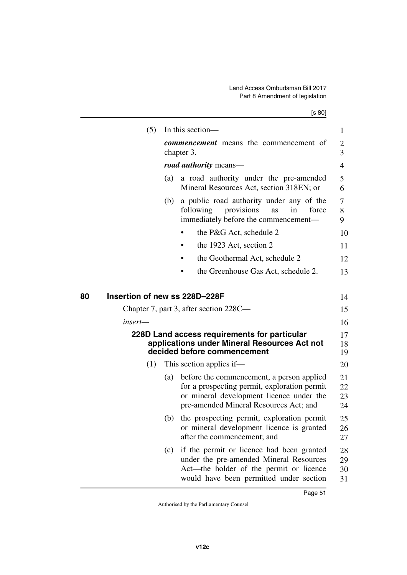<span id="page-52-3"></span><span id="page-52-2"></span><span id="page-52-1"></span><span id="page-52-0"></span>

| (5)                                 |     | In this section-                                                                                                                                                                | 1                    |
|-------------------------------------|-----|---------------------------------------------------------------------------------------------------------------------------------------------------------------------------------|----------------------|
|                                     |     | <b><i>commencement</i></b> means the commencement of<br>chapter 3.                                                                                                              | $\overline{c}$<br>3  |
|                                     |     | <i>road authority</i> means—                                                                                                                                                    | $\overline{4}$       |
|                                     | (a) | a road authority under the pre-amended<br>Mineral Resources Act, section 318EN; or                                                                                              | 5<br>6               |
|                                     | (b) | a public road authority under any of the<br>provisions<br>following<br>force<br>as<br>in<br>immediately before the commencement-                                                | 7<br>8<br>9          |
|                                     |     | the P&G Act, schedule 2                                                                                                                                                         | 10                   |
|                                     |     | the 1923 Act, section 2                                                                                                                                                         | 11                   |
|                                     |     | the Geothermal Act, schedule 2                                                                                                                                                  | 12                   |
|                                     |     | the Greenhouse Gas Act, schedule 2.                                                                                                                                             | 13                   |
| Insertion of new ss 228D-228F<br>80 |     | Chapter 7, part 3, after section 228C—                                                                                                                                          | 14<br>15             |
| insert—                             |     |                                                                                                                                                                                 | 16                   |
|                                     |     | 228D Land access requirements for particular<br>applications under Mineral Resources Act not<br>decided before commencement                                                     | 17<br>18<br>19       |
| (1)                                 |     | This section applies if—                                                                                                                                                        | 20                   |
|                                     | (a) | before the commencement, a person applied<br>for a prospecting permit, exploration permit<br>or mineral development licence under the<br>pre-amended Mineral Resources Act; and | 21<br>22<br>23<br>24 |
|                                     | (b) | the prospecting permit, exploration permit<br>or mineral development licence is granted<br>after the commencement; and                                                          | 25<br>26<br>27       |
|                                     | (c) | if the permit or licence had been granted<br>under the pre-amended Mineral Resources<br>Act—the holder of the permit or licence<br>would have been permitted under section      | 28<br>29<br>30<br>31 |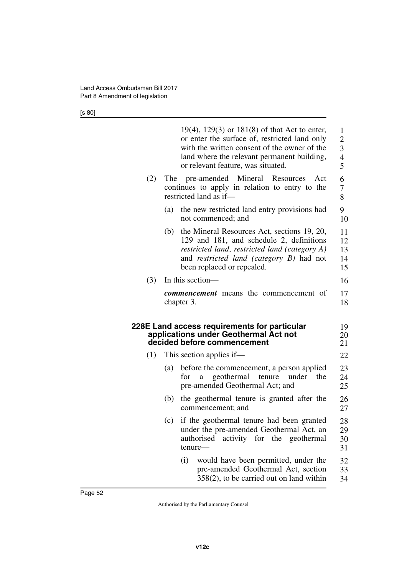[s 80]

<span id="page-53-1"></span><span id="page-53-0"></span>

|     |     | $19(4)$ , $129(3)$ or $181(8)$ of that Act to enter,<br>or enter the surface of, restricted land only<br>with the written consent of the owner of the<br>land where the relevant permanent building,<br>or relevant feature, was situated. | 1<br>$\overline{2}$<br>$\overline{\mathbf{3}}$<br>$\overline{4}$<br>5 |
|-----|-----|--------------------------------------------------------------------------------------------------------------------------------------------------------------------------------------------------------------------------------------------|-----------------------------------------------------------------------|
| (2) |     | The pre-amended Mineral Resources<br>Act<br>continues to apply in relation to entry to the<br>restricted land as if-                                                                                                                       | 6<br>7<br>8                                                           |
|     | (a) | the new restricted land entry provisions had<br>not commenced; and                                                                                                                                                                         | 9<br>10                                                               |
|     | (b) | the Mineral Resources Act, sections 19, 20,<br>129 and 181, and schedule 2, definitions<br>restricted land, restricted land (category A)<br>and <i>restricted land (category B)</i> had not<br>been replaced or repealed.                  | 11<br>12<br>13<br>14<br>15                                            |
| (3) |     | In this section-                                                                                                                                                                                                                           | 16                                                                    |
|     |     | <b><i>commencement</i></b> means the commencement of<br>chapter 3.                                                                                                                                                                         | 17<br>18                                                              |
|     |     | 228E Land access requirements for particular<br>applications under Geothermal Act not<br>decided before commencement                                                                                                                       | 19<br>20<br>21                                                        |
| (1) |     | This section applies if—                                                                                                                                                                                                                   | 22                                                                    |
|     | (a) | before the commencement, a person applied<br>geothermal<br>under<br>for<br>tenure<br>the<br>a<br>pre-amended Geothermal Act; and                                                                                                           | 23<br>24<br>25                                                        |
|     | (b) | the geothermal tenure is granted after the<br>commencement; and                                                                                                                                                                            | 26<br>27                                                              |
|     | (c) | if the geothermal tenure had been granted<br>under the pre-amended Geothermal Act, an                                                                                                                                                      | 28<br>29                                                              |
|     |     | authorised<br>activity<br>for the<br>geothermal<br>tenure-                                                                                                                                                                                 | 30<br>31                                                              |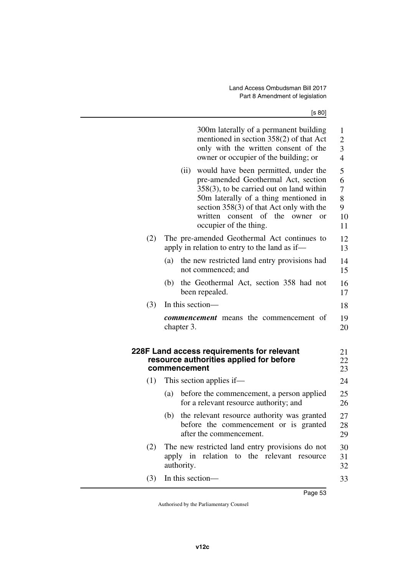<span id="page-54-1"></span><span id="page-54-0"></span>

|     | 300m laterally of a permanent building<br>mentioned in section 358(2) of that Act<br>only with the written consent of the<br>owner or occupier of the building; or                                                                                                                                    | 1<br>$\mathbf{2}$<br>3<br>4       |
|-----|-------------------------------------------------------------------------------------------------------------------------------------------------------------------------------------------------------------------------------------------------------------------------------------------------------|-----------------------------------|
|     | would have been permitted, under the<br>(ii)<br>pre-amended Geothermal Act, section<br>$358(3)$ , to be carried out on land within<br>50m laterally of a thing mentioned in<br>section $358(3)$ of that Act only with the<br>consent of the<br>written<br>owner<br>$\alpha$<br>occupier of the thing. | 5<br>6<br>7<br>8<br>9<br>10<br>11 |
| (2) | The pre-amended Geothermal Act continues to<br>apply in relation to entry to the land as if—                                                                                                                                                                                                          | 12<br>13                          |
|     | the new restricted land entry provisions had<br>(a)<br>not commenced; and                                                                                                                                                                                                                             | 14<br>15                          |
|     | the Geothermal Act, section 358 had not<br>(b)<br>been repealed.                                                                                                                                                                                                                                      | 16<br>17                          |
| (3) | In this section—                                                                                                                                                                                                                                                                                      | 18                                |
|     | <b><i>commencement</i></b> means the commencement of<br>chapter 3.                                                                                                                                                                                                                                    | 19<br>20                          |
|     | 228F Land access requirements for relevant<br>resource authorities applied for before<br>commencement                                                                                                                                                                                                 | 21<br>22<br>23                    |
| (1) | This section applies if—                                                                                                                                                                                                                                                                              | 24                                |
|     | (a)<br>before the commencement, a person applied<br>for a relevant resource authority; and                                                                                                                                                                                                            | 25<br>26                          |
|     | the relevant resource authority was granted<br>(b)<br>before the commencement or is granted<br>after the commencement.                                                                                                                                                                                | 27<br>28<br>29                    |
| (2) | The new restricted land entry provisions do not<br>apply in relation to the relevant<br>resource<br>authority.                                                                                                                                                                                        | 30<br>31<br>32                    |
| (3) | In this section—                                                                                                                                                                                                                                                                                      | 33                                |
|     |                                                                                                                                                                                                                                                                                                       |                                   |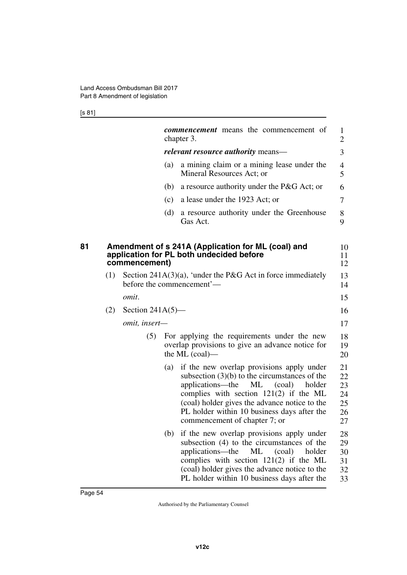[s 81]

<span id="page-55-1"></span><span id="page-55-0"></span>

|    |     |                     |     | <b><i>commencement</i></b> means the commencement of<br>chapter 3.                                                                                                                                                                                                                                                      | 1<br>2                                 |
|----|-----|---------------------|-----|-------------------------------------------------------------------------------------------------------------------------------------------------------------------------------------------------------------------------------------------------------------------------------------------------------------------------|----------------------------------------|
|    |     |                     |     | <i>relevant resource authority</i> means—                                                                                                                                                                                                                                                                               | 3                                      |
|    |     |                     | (a) | a mining claim or a mining lease under the<br>Mineral Resources Act; or                                                                                                                                                                                                                                                 | 4<br>5                                 |
|    |     |                     | (b) | a resource authority under the P&G Act; or                                                                                                                                                                                                                                                                              | 6                                      |
|    |     |                     | (c) | a lease under the 1923 Act; or                                                                                                                                                                                                                                                                                          | 7                                      |
|    |     |                     | (d) | a resource authority under the Greenhouse<br>Gas Act.                                                                                                                                                                                                                                                                   | 8<br>9                                 |
| 81 |     | commencement)       |     | Amendment of s 241A (Application for ML (coal) and<br>application for PL both undecided before                                                                                                                                                                                                                          | 10<br>11<br>12                         |
|    | (1) |                     |     | Section 241A(3)(a), 'under the P&G Act in force immediately<br>before the commencement'—                                                                                                                                                                                                                                | 13<br>14                               |
|    |     | omit.               |     |                                                                                                                                                                                                                                                                                                                         | 15                                     |
|    | (2) | Section $241A(5)$ — |     |                                                                                                                                                                                                                                                                                                                         | 16                                     |
|    |     | omit, insert-       |     |                                                                                                                                                                                                                                                                                                                         | 17                                     |
|    |     | (5)                 |     | For applying the requirements under the new<br>overlap provisions to give an advance notice for<br>the ML $(coal)$ —                                                                                                                                                                                                    | 18<br>19<br>20                         |
|    |     |                     | (a) | if the new overlap provisions apply under<br>subsection $(3)(b)$ to the circumstances of the<br>applications—the<br>ML<br>(coal)<br>holder<br>complies with section $121(2)$ if the ML<br>(coal) holder gives the advance notice to the<br>PL holder within 10 business days after the<br>commencement of chapter 7; or | 21<br>22<br>23<br>24<br>25<br>26<br>27 |
|    |     |                     | (b) | if the new overlap provisions apply under<br>subsection (4) to the circumstances of the<br>applications—the<br>(coal)<br>holder<br>ML<br>complies with section $121(2)$ if the ML<br>(coal) holder gives the advance notice to the<br>PL holder within 10 business days after the                                       | 28<br>29<br>30<br>31<br>32<br>33       |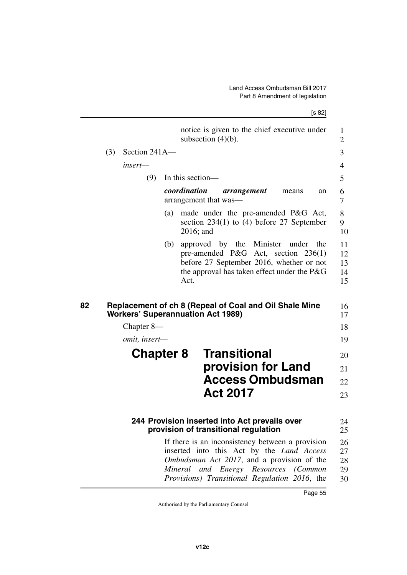[s 82]

<span id="page-56-1"></span><span id="page-56-0"></span>

|     |                  |     | notice is given to the chief executive under<br>subsection $(4)(b)$ .                                                                                                                                                                   |
|-----|------------------|-----|-----------------------------------------------------------------------------------------------------------------------------------------------------------------------------------------------------------------------------------------|
| (3) | Section 241A-    |     |                                                                                                                                                                                                                                         |
|     | insert—          |     |                                                                                                                                                                                                                                         |
|     | (9)              |     | In this section—                                                                                                                                                                                                                        |
|     |                  |     | coordination<br>arrangement<br>means<br>an<br>arrangement that was—                                                                                                                                                                     |
|     |                  | (a) | made under the pre-amended P&G Act,<br>section $234(1)$ to (4) before 27 September<br>$2016$ ; and                                                                                                                                      |
|     |                  | (b) | approved by the Minister under<br>the<br>pre-amended P&G Act, section 236(1)<br>before 27 September 2016, whether or not<br>the approval has taken effect under the $P\&G$<br>Act.                                                      |
|     |                  |     | Replacement of ch 8 (Repeal of Coal and Oil Shale Mine<br><b>Workers' Superannuation Act 1989)</b>                                                                                                                                      |
|     | Chapter $8-$     |     |                                                                                                                                                                                                                                         |
|     | omit, insert-    |     |                                                                                                                                                                                                                                         |
|     | <b>Chapter 8</b> |     | <b>Transitional</b><br>provision for Land<br><b>Access Ombudsman</b><br><b>Act 2017</b>                                                                                                                                                 |
|     |                  |     | 244 Provision inserted into Act prevails over<br>provision of transitional regulation                                                                                                                                                   |
|     |                  |     | If there is an inconsistency between a provision<br>inserted into this Act by the Land Access<br>Ombudsman Act 2017, and a provision of the<br>Mineral<br>and Energy Resources (Common<br>Provisions) Transitional Regulation 2016, the |

<span id="page-56-5"></span><span id="page-56-4"></span><span id="page-56-3"></span><span id="page-56-2"></span> $\overline{\phantom{0}}$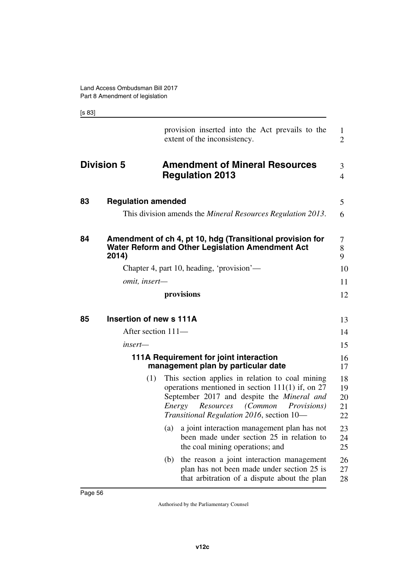[s 83]

<span id="page-57-9"></span><span id="page-57-8"></span><span id="page-57-7"></span><span id="page-57-6"></span><span id="page-57-5"></span><span id="page-57-4"></span><span id="page-57-3"></span><span id="page-57-2"></span><span id="page-57-1"></span><span id="page-57-0"></span>

|    |                           | provision inserted into the Act prevails to the<br>extent of the inconsistency.                                                                                                                                                                        | 1<br>$\overline{2}$        |
|----|---------------------------|--------------------------------------------------------------------------------------------------------------------------------------------------------------------------------------------------------------------------------------------------------|----------------------------|
|    | <b>Division 5</b>         | <b>Amendment of Mineral Resources</b><br><b>Regulation 2013</b>                                                                                                                                                                                        | 3<br>$\overline{4}$        |
| 83 | <b>Regulation amended</b> |                                                                                                                                                                                                                                                        | 5                          |
|    |                           | This division amends the <i>Mineral Resources Regulation 2013</i> .                                                                                                                                                                                    | 6                          |
| 84 | 2014)                     | Amendment of ch 4, pt 10, hdg (Transitional provision for<br>Water Reform and Other Legislation Amendment Act                                                                                                                                          | 7<br>8<br>9                |
|    |                           | Chapter 4, part 10, heading, 'provision'-                                                                                                                                                                                                              | 10                         |
|    | omit, insert-             |                                                                                                                                                                                                                                                        | 11                         |
|    |                           | provisions                                                                                                                                                                                                                                             | 12                         |
| 85 | Insertion of new s 111A   |                                                                                                                                                                                                                                                        | 13                         |
|    | After section 111-        |                                                                                                                                                                                                                                                        | 14                         |
|    | insert—                   |                                                                                                                                                                                                                                                        | 15                         |
|    |                           | 111A Requirement for joint interaction<br>management plan by particular date                                                                                                                                                                           | 16<br>17                   |
|    | (1)                       | This section applies in relation to coal mining<br>operations mentioned in section $111(1)$ if, on 27<br>September 2017 and despite the Mineral and<br>Resources (Common<br>Energy<br><i>Provisions</i> )<br>Transitional Regulation 2016, section 10- | 18<br>19<br>20<br>21<br>22 |
|    |                           | (a) a joint interaction management plan has not<br>been made under section 25 in relation to<br>the coal mining operations; and                                                                                                                        | 23<br>24<br>25             |
|    |                           | the reason a joint interaction management<br>(b)<br>plan has not been made under section 25 is<br>that arbitration of a dispute about the plan                                                                                                         | 26<br>27<br>28             |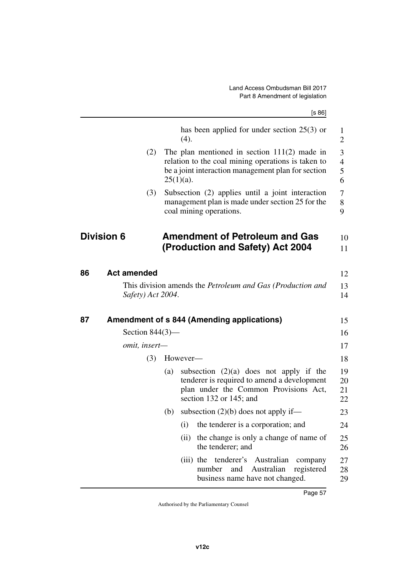<span id="page-58-4"></span><span id="page-58-3"></span><span id="page-58-2"></span><span id="page-58-1"></span><span id="page-58-0"></span>

|    |                    |     | [s 86]                                                                                                                                                                     |
|----|--------------------|-----|----------------------------------------------------------------------------------------------------------------------------------------------------------------------------|
|    |                    |     | has been applied for under section $25(3)$ or<br>(4).                                                                                                                      |
|    |                    | (2) | The plan mentioned in section $111(2)$ made in<br>relation to the coal mining operations is taken to<br>be a joint interaction management plan for section<br>$25(1)(a)$ . |
|    |                    | (3) | Subsection (2) applies until a joint interaction<br>management plan is made under section 25 for the<br>coal mining operations.                                            |
|    | <b>Division 6</b>  |     | <b>Amendment of Petroleum and Gas</b><br>(Production and Safety) Act 2004                                                                                                  |
|    |                    |     |                                                                                                                                                                            |
| 86 | <b>Act amended</b> |     |                                                                                                                                                                            |
|    | Safety) Act 2004.  |     | This division amends the <i>Petroleum and Gas (Production and</i>                                                                                                          |
| 87 |                    |     | <b>Amendment of s 844 (Amending applications)</b>                                                                                                                          |
|    | Section $844(3)$ — |     |                                                                                                                                                                            |
|    | omit, insert-      |     |                                                                                                                                                                            |
|    |                    | (3) | However-                                                                                                                                                                   |
|    |                    |     | subsection $(2)(a)$ does not apply if the<br>(a)<br>tenderer is required to amend a development<br>plan under the Common Provisions Act,<br>section 132 or 145; and        |
|    |                    | (b) | subsection $(2)(b)$ does not apply if—                                                                                                                                     |
|    |                    |     | the tenderer is a corporation; and<br>(i)                                                                                                                                  |
|    |                    |     | the change is only a change of name of<br>(ii)<br>the tenderer; and                                                                                                        |
|    |                    |     | (iii) the tenderer's Australian<br>company<br>number<br>Australian<br>registered<br>and                                                                                    |

29

<span id="page-58-5"></span>business name have not changed.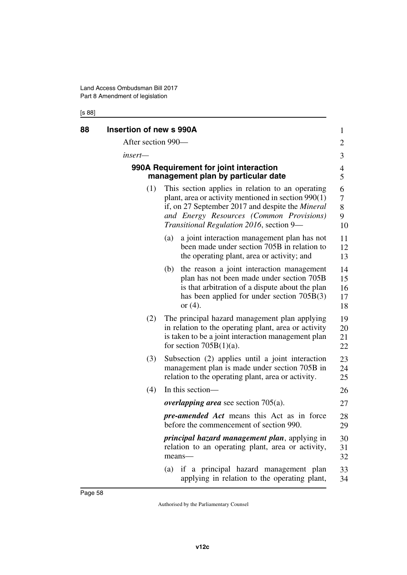### [s 88]

<span id="page-59-3"></span><span id="page-59-2"></span><span id="page-59-1"></span><span id="page-59-0"></span>

| 88 | <b>Insertion of new s 990A</b> |                                                                                                                                                                                                                                                              | $\mathbf{1}$               |
|----|--------------------------------|--------------------------------------------------------------------------------------------------------------------------------------------------------------------------------------------------------------------------------------------------------------|----------------------------|
|    | After section 990—             |                                                                                                                                                                                                                                                              | 2                          |
|    | insert-                        |                                                                                                                                                                                                                                                              | 3                          |
|    |                                | 990A Requirement for joint interaction<br>management plan by particular date                                                                                                                                                                                 | 4<br>5                     |
|    | (1)                            | This section applies in relation to an operating<br>plant, area or activity mentioned in section $990(1)$<br>if, on 27 September 2017 and despite the <i>Mineral</i><br>and Energy Resources (Common Provisions)<br>Transitional Regulation 2016, section 9- | 6<br>7<br>$8\,$<br>9<br>10 |
|    |                                | a joint interaction management plan has not<br>(a)<br>been made under section 705B in relation to<br>the operating plant, area or activity; and                                                                                                              | 11<br>12<br>13             |
|    |                                | the reason a joint interaction management<br>(b)<br>plan has not been made under section 705B<br>is that arbitration of a dispute about the plan<br>has been applied for under section $705B(3)$<br>or $(4)$ .                                               | 14<br>15<br>16<br>17<br>18 |
|    | (2)                            | The principal hazard management plan applying<br>in relation to the operating plant, area or activity<br>is taken to be a joint interaction management plan<br>for section $705B(1)(a)$ .                                                                    | 19<br>20<br>21<br>22       |
|    | (3)                            | Subsection (2) applies until a joint interaction<br>management plan is made under section 705B in<br>relation to the operating plant, area or activity.                                                                                                      | 23<br>24<br>25             |
|    | (4)                            | In this section-                                                                                                                                                                                                                                             | 26                         |
|    |                                | <i>overlapping area</i> see section $705(a)$ .                                                                                                                                                                                                               | 27                         |
|    |                                | <i>pre-amended Act</i> means this Act as in force<br>before the commencement of section 990.                                                                                                                                                                 | 28<br>29                   |
|    |                                | <i>principal hazard management plan, applying in</i><br>relation to an operating plant, area or activity,<br>means-                                                                                                                                          | 30<br>31<br>32             |
|    |                                | if a principal hazard management plan<br>(a)<br>applying in relation to the operating plant,                                                                                                                                                                 | 33<br>34                   |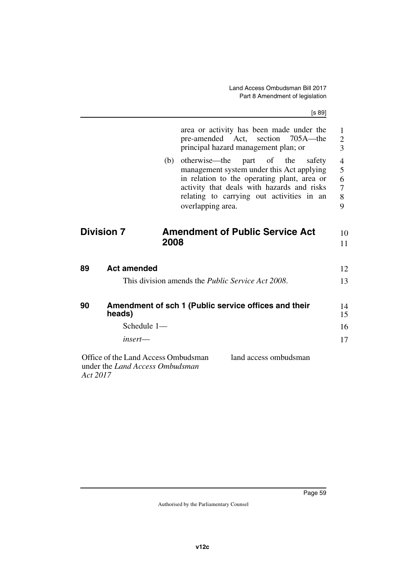[s 89]

<span id="page-60-5"></span><span id="page-60-4"></span><span id="page-60-3"></span><span id="page-60-2"></span><span id="page-60-1"></span><span id="page-60-0"></span>

|                                                    | area or activity has been made under the<br>pre-amended Act, section 705A—the<br>principal hazard management plan; or                                                                                                                                     | 1<br>$\overline{c}$<br>3                              |
|----------------------------------------------------|-----------------------------------------------------------------------------------------------------------------------------------------------------------------------------------------------------------------------------------------------------------|-------------------------------------------------------|
|                                                    | otherwise—the<br>part of the<br>(b)<br>safety<br>management system under this Act applying<br>in relation to the operating plant, area or<br>activity that deals with hazards and risks<br>relating to carrying out activities in an<br>overlapping area. | $\overline{\mathcal{A}}$<br>5<br>6<br>7<br>$8\,$<br>9 |
| <b>Division 7</b>                                  | <b>Amendment of Public Service Act</b>                                                                                                                                                                                                                    | 10                                                    |
|                                                    | 2008                                                                                                                                                                                                                                                      | 11                                                    |
| <b>Act amended</b><br>89                           |                                                                                                                                                                                                                                                           | 12                                                    |
|                                                    | This division amends the <i>Public Service Act 2008</i> .                                                                                                                                                                                                 | 13                                                    |
| 90<br>heads)                                       | Amendment of sch 1 (Public service offices and their                                                                                                                                                                                                      | 14<br>15                                              |
|                                                    | Schedule 1-                                                                                                                                                                                                                                               | 16                                                    |
| $insert$ —                                         |                                                                                                                                                                                                                                                           | 17                                                    |
| under the <i>Land Access Ombudsman</i><br>Act 2017 | Office of the Land Access Ombudsman<br>land access ombudsman                                                                                                                                                                                              |                                                       |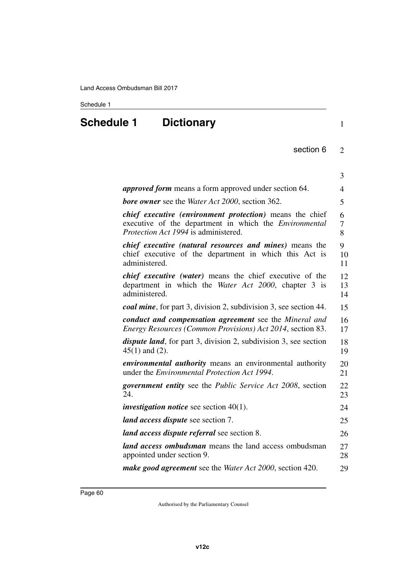### <span id="page-61-0"></span>Schedule 1

### **Schedule 1 Dictionary**

| ٦ |
|---|
|   |
|   |
|   |

| section 6 |  |
|-----------|--|
|           |  |

<span id="page-61-1"></span>

|                                                                                                                                                                                 | 3              |
|---------------------------------------------------------------------------------------------------------------------------------------------------------------------------------|----------------|
| <i>approved form</i> means a form approved under section 64.                                                                                                                    | 4              |
| <b>bore owner</b> see the Water Act 2000, section 362.                                                                                                                          | 5              |
| <i>chief executive (environment protection)</i> means the chief<br>executive of the department in which the <i>Environmental</i><br><i>Protection Act 1994</i> is administered. | 6<br>7<br>8    |
| <i>chief executive (natural resources and mines)</i> means the<br>chief executive of the department in which this Act is<br>administered.                                       | 9<br>10<br>11  |
| <i>chief executive (water)</i> means the chief executive of the<br>department in which the Water Act 2000, chapter 3 is<br>administered.                                        | 12<br>13<br>14 |
| <b><i>coal mine</i></b> , for part 3, division 2, subdivision 3, see section 44.                                                                                                | 15             |
| conduct and compensation agreement see the Mineral and<br>Energy Resources (Common Provisions) Act 2014, section 83.                                                            | 16<br>17       |
| <i>dispute land</i> , for part 3, division 2, subdivision 3, see section<br>$45(1)$ and $(2)$ .                                                                                 | 18<br>19       |
| <i>environmental authority</i> means an environmental authority<br>under the <i>Environmental Protection Act 1994</i> .                                                         | 20<br>21       |
| <i>government entity</i> see the <i>Public Service Act 2008</i> , section<br>24.                                                                                                | 22<br>23       |
| <i>investigation notice</i> see section $40(1)$ .                                                                                                                               | 24             |
| <i>land access dispute see section 7.</i>                                                                                                                                       | 25             |
| land access dispute referral see section 8.                                                                                                                                     | 26             |
| land access ombudsman means the land access ombudsman<br>appointed under section 9.                                                                                             | 27<br>28       |
| <i>make good agreement</i> see the <i>Water Act 2000</i> , section 420.                                                                                                         | 29             |
|                                                                                                                                                                                 |                |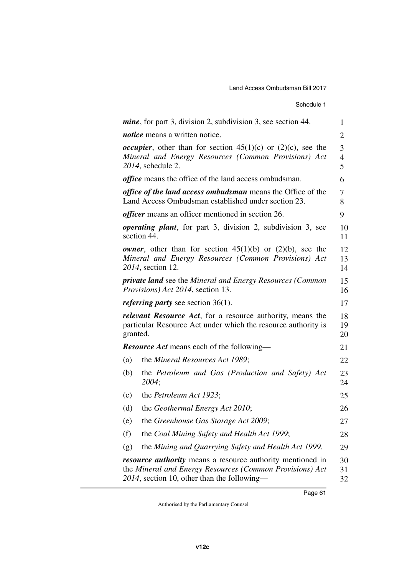| Schedule 1 |
|------------|
|------------|

|                                                                                                                                                 | <i>mine</i> , for part 3, division 2, subdivision 3, see section 44.                                                                                                         | $\mathbf{1}$   |
|-------------------------------------------------------------------------------------------------------------------------------------------------|------------------------------------------------------------------------------------------------------------------------------------------------------------------------------|----------------|
|                                                                                                                                                 | <i>notice</i> means a written notice.                                                                                                                                        | $\overline{2}$ |
|                                                                                                                                                 | <i>occupier</i> , other than for section $45(1)(c)$ or $(2)(c)$ , see the<br>Mineral and Energy Resources (Common Provisions) Act<br>2014, schedule 2.                       | 3<br>4<br>5    |
|                                                                                                                                                 | <i>office</i> means the office of the land access ombudsman.                                                                                                                 | 6              |
|                                                                                                                                                 | <i>office of the land access ombudsman</i> means the Office of the<br>Land Access Ombudsman established under section 23.                                                    | 7<br>8         |
|                                                                                                                                                 | <i>officer</i> means an officer mentioned in section 26.                                                                                                                     | 9              |
|                                                                                                                                                 | <i>operating plant</i> , for part 3, division 2, subdivision 3, see<br>section 44.                                                                                           | 10<br>11       |
|                                                                                                                                                 | <i>owner</i> , other than for section $45(1)(b)$ or $(2)(b)$ , see the<br>Mineral and Energy Resources (Common Provisions) Act<br>2014, section 12.                          | 12<br>13<br>14 |
|                                                                                                                                                 | <b>private land</b> see the Mineral and Energy Resources (Common<br><i>Provisions</i> ) <i>Act 2014</i> , section 13.                                                        | 15<br>16       |
|                                                                                                                                                 | <i>referring party</i> see section $36(1)$ .                                                                                                                                 | 17             |
| <i>relevant Resource Act</i> , for a resource authority, means the<br>particular Resource Act under which the resource authority is<br>granted. |                                                                                                                                                                              | 18<br>19<br>20 |
|                                                                                                                                                 | <b>Resource Act</b> means each of the following—                                                                                                                             | 21             |
| (a)                                                                                                                                             | the Mineral Resources Act 1989;                                                                                                                                              | 22             |
| (b)                                                                                                                                             | the Petroleum and Gas (Production and Safety) Act<br>2004;                                                                                                                   | 23<br>24       |
| (c)                                                                                                                                             | the <i>Petroleum</i> Act 1923;                                                                                                                                               | 25             |
| (d)                                                                                                                                             | the Geothermal Energy Act 2010;                                                                                                                                              | 26             |
| (e)                                                                                                                                             | the Greenhouse Gas Storage Act 2009;                                                                                                                                         | 27             |
| (f)                                                                                                                                             | the Coal Mining Safety and Health Act 1999;                                                                                                                                  | 28             |
| (g)                                                                                                                                             | the Mining and Quarrying Safety and Health Act 1999.                                                                                                                         | 29             |
|                                                                                                                                                 | <i>resource authority</i> means a resource authority mentioned in<br>the Mineral and Energy Resources (Common Provisions) Act<br>2014, section 10, other than the following— | 30<br>31<br>32 |